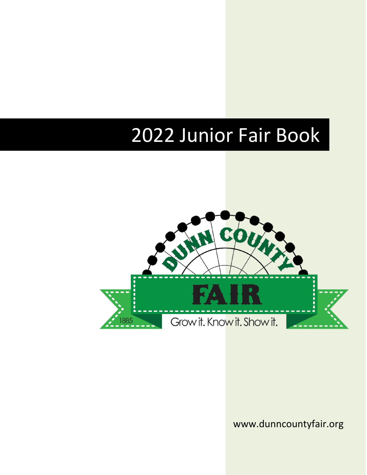# 2022 Junior Fair Book



www.dunncountyfair.org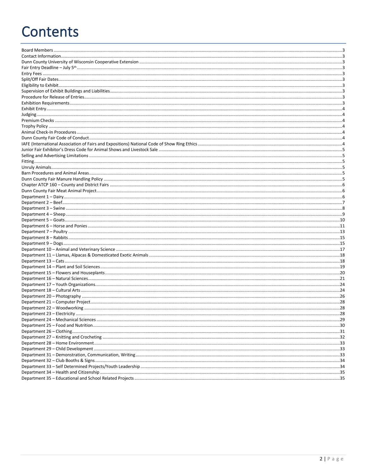# **Contents**

| 28 |
|----|
|    |
|    |
|    |
|    |
|    |
|    |
|    |
|    |
|    |
|    |
|    |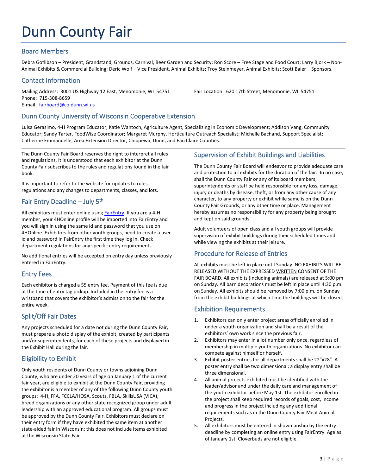# Dunn County Fair

## <span id="page-3-0"></span>Board Members

Debra Gotlibson – President, Grandstand, Grounds, Carnival, Beer Garden and Security; Ron Score – Free Stage and Food Court; Larry Bjork – Non-Animal Exhibits & Commercial Building; Deric Wolf – Vice President, Animal Exhibits; Troy Steinmeyer, Animal Exhibits; Scott Baier – Sponsors.

## <span id="page-3-1"></span>Contact Information

Mailing Address: 3001 US Highway 12 East, Menomonie, WI 54751 Fair Location: 620 17th Street, Menomonie, WI 54751 Phone: 715-308-8659

E-mail: [fairboard@co.dunn.wi.us](mailto:fairboard@co.dunn.wi.us)

## <span id="page-3-2"></span>Dunn County University of Wisconsin Cooperative Extension

Luisa Gerasimo, 4-H Program Educator; Katie Wantoch, Agriculture Agent, Specializing in Economic Development; Addison Vang, Community Educator; Sandy Tarter, FoodWise Coordinator; Margaret Murphy, Horticulture Outreach Specialist; Michelle Bachand, Support Specialist; Catherine Emmanuelle, Area Extension Director, Chippewa, Dunn, and Eau Claire Counties.

The Dunn County Fair Board reserves the right to interpret all rules and regulations. It is understood that each exhibitor at the Dunn County Fair subscribes to the rules and regulations found in the fair book.

It is important to refer to the website for updates to rules, regulations and any changes to departments, classes, and lots.

# <span id="page-3-3"></span>Fair Entry Deadline – July 5<sup>th</sup>

All exhibitors must enter online using **FairEntry**. If you are a 4-H member, your 4HOnline profile will be imported into FairEntry and you will sign in using the same id and password that you use on 4HOnline. Exhibitors from other youth groups, need to create a user id and password in FairEntry the first time they log in. Check department regulations for any specific entry requirements.

No additional entries will be accepted on entry day unless previously entered in FairEntry.

## <span id="page-3-4"></span>Entry Fees

Each exhibitor is charged a \$5 entry fee. Payment of this fee is due at the time of entry tag pickup. Included in the entry fee is a wristband that covers the exhibitor's admission to the fair for the entire week.

## <span id="page-3-5"></span>Split/Off Fair Dates

Any projects scheduled for a date not during the Dunn County Fair, must prepare a photo display of the exhibit, created by participants and/or superintendents, for each of these projects and displayed in the Exhibit Hall during the fair.

# <span id="page-3-6"></span>Eligibility to Exhibit

Only youth residents of Dunn County or towns adjoining Dunn County, who are under 20 years of age on January 1 of the current fair year, are eligible to exhibit at the Dunn County Fair, providing the exhibitor is a member of any of the following Dunn County youth groups: 4-H, FFA, FCCLA/HOSA, Scouts, FBLA, SkillsUSA (VICA), breed organizations or any other state recognized group under adult leadership with an approved educational program. All groups must be approved by the Dunn County Fair. Exhibitors must declare on their entry form if they have exhibited the same item at another state-aided fair in Wisconsin; this does not include items exhibited at the Wisconsin State Fair.

## <span id="page-3-7"></span>Supervision of Exhibit Buildings and Liabilities

The Dunn County Fair Board will endeavor to provide adequate care and protection to all exhibits for the duration of the fair. In no case, shall the Dunn County Fair or any of its board members, superintendents or staff be held responsible for any loss, damage, injury or deaths by disease, theft, or from any other cause of any character, to any property or exhibit while same is on the Dunn County Fair Grounds, or any other time or place. Management hereby assumes no responsibility for any property being brought and kept on said grounds.

Adult volunteers of open class and all youth groups will provide supervision of exhibit buildings during their scheduled times and while viewing the exhibits at their leisure.

# <span id="page-3-8"></span>Procedure for Release of Entries

All exhibits must be left in place until Sunday. NO EXHIBITS WILL BE RELEASED WITHOUT THE EXPRESSED WRITTEN CONSENT OF THE FAIR BOARD. All exhibits (including animals) are released at 5:00 pm on Sunday. All barn decorations must be left in place until 4:30 p.m. on Sunday. All exhibits should be removed by 7:00 p.m. on Sunday from the exhibit buildings at which time the buildings will be closed.

## <span id="page-3-9"></span>Exhibition Requirements

- 1. Exhibitors can only enter project areas officially enrolled in under a youth organization and shall be a result of the exhibitors' own work since the previous fair.
- 2. Exhibitors may enter in a lot number only once, regardless of membership in multiple youth organizations. No exhibitor can compete against himself or herself.
- 3. Exhibit poster entries for all departments shall be 22"x28". A poster entry shall be two dimensional; a display entry shall be three dimensional.
- 4. All animal projects exhibited must be identified with the leader/advisor and under the daily care and management of the youth exhibitor before May 1st. The exhibitor enrolled in the project shall keep required records of goals, cost, income and progress in the project including any additional requirements such as in the Dunn County Fair Meat Animal Projects.
- 5. All exhibitors must be entered in showmanship by the entry deadline by completing an online entry using FairEntry. Age as of January 1st. Cloverbuds are not eligible.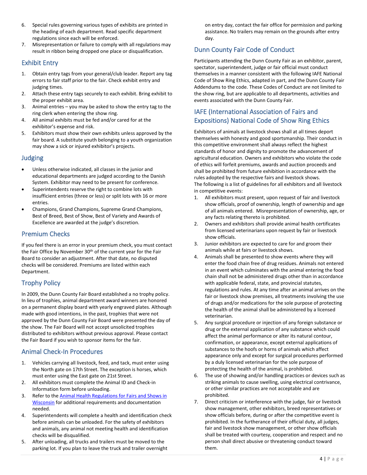- 6. Special rules governing various types of exhibits are printed in the heading of each department. Read specific department regulations since each will be enforced.
- 7. Misrepresentation or failure to comply with all regulations may result in ribbon being dropped one place or disqualification.

## <span id="page-4-0"></span>Exhibit Entry

- 1. Obtain entry tags from your general/club leader. Report any tag errors to fair staff prior to the fair. Check exhibit entry and judging times.
- 2. Attach these entry tags securely to each exhibit. Bring exhibit to the proper exhibit area.
- 3. Animal entries you may be asked to show the entry tag to the ring clerk when entering the show ring.
- 4. All animal exhibits must be fed and/or cared for at the exhibitor's expense and risk.
- 5. Exhibitors must show their own exhibits unless approved by the fair board. A substitute youth belonging to a youth organization may show a sick or injured exhibitor's projects.

## <span id="page-4-1"></span>Judging

- Unless otherwise indicated, all classes in the junior and educational departments are judged according to the Danish System. Exhibitor may need to be present for conference.
- Superintendents reserve the right to combine lots with insufficient entries (three or less) or split lots with 16 or more entries.
- Champions, Grand Champions, Supreme Grand Champions, Best of Breed, Best of Show, Best of Variety and Awards of Excellence are awarded at the judge's discretion.

## <span id="page-4-2"></span>Premium Checks

If you feel there is an error in your premium check, you must contact the Fair Office by November 30<sup>th</sup> of the current year for the Fair Board to consider an adjustment. After that date, no disputed checks will be considered. Premiums are listed within each Department.

# <span id="page-4-3"></span>Trophy Policy

In 2009, the Dunn County Fair Board established a no trophy policy. In lieu of trophies, animal department award winners are honored on a permanent display board with yearly engraved plates. Although made with good intentions, in the past, trophies that were not approved by the Dunn County Fair Board were presented the day of the show. The Fair Board will not accept unsolicited trophies distributed to exhibitors without previous approval. Please contact the Fair Board if you wish to sponsor items for the fair.

# <span id="page-4-4"></span>Animal Check-In Procedures

- 1. Vehicles carrying all livestock, feed, and tack, must enter using the North gate on 17th Street. The exception is horses, which must enter using the East gate on 21st Street.
- 2. All exhibitors must complete the Animal ID and Check-in Information form before unloading.
- 3. Refer to the [Animal Health Regulations for Fairs and Shows in](https://datcp.wi.gov/Documents/FairRulesAnimals.pdf)  [Wisconsin](https://datcp.wi.gov/Documents/FairRulesAnimals.pdf) for additional requirements and documentation needed.
- 4. Superintendents will complete a health and identification check before animals can be unloaded. For the safety of exhibitors and animals, any animal not meeting health and identification checks will be disqualified.
- 5. After unloading, all trucks and trailers must be moved to the parking lot. If you plan to leave the truck and trailer overnight

on entry day, contact the fair office for permission and parking assistance. No trailers may remain on the grounds after entry day.

# <span id="page-4-5"></span>Dunn County Fair Code of Conduct

Participants attending the Dunn County Fair as an exhibitor, parent, spectator, superintendent, judge or fair official must conduct themselves in a manner consistent with the following IAFE National Code of Show Ring Ethics, adapted in part, and the Dunn County Fair Addendums to the code. These Codes of Conduct are not limited to the show ring, but are applicable to all departments, activities and events associated with the Dunn County Fair.

# <span id="page-4-6"></span>IAFE (International Association of Fairs and Expositions) National Code of Show Ring Ethics

Exhibitors of animals at livestock shows shall at all times deport themselves with honesty and good sportsmanship. Their conduct in this competitive environment shall always reflect the highest standards of honor and dignity to promote the advancement of agricultural education. Owners and exhibitors who violate the code of ethics will forfeit premiums, awards and auction proceeds and shall be prohibited from future exhibition in accordance with the rules adopted by the respective fairs and livestock shows. The following is a list of guidelines for all exhibitors and all livestock in competitive events:

- 1. All exhibitors must present, upon request of fair and livestock show officials, proof of ownership, length of ownership and age of all animals entered. Misrepresentation of ownership, age, or any facts relating thereto is prohibited.
- 2. Owners and exhibitors shall provide animal health certificates from licensed veterinarians upon request by fair or livestock show officials.
- 3. Junior exhibitors are expected to care for and groom their animals while at fairs or livestock shows.
- 4. Animals shall be presented to show events where they will enter the food chain free of drug residues. Animals not entered in an event which culminates with the animal entering the food chain shall not be administered drugs other than in accordance with applicable federal, state, and provincial statutes, regulations and rules. At any time after an animal arrives on the fair or livestock show premises, all treatments involving the use of drugs and/or medications for the sole purpose of protecting the health of the animal shall be administered by a licensed veterinarian.
- 5. Any surgical procedure or injection of any foreign substance or drug or the external application of any substance which could affect the animal performance or alter its natural contour, confirmation, or appearance, except external applications of substances to the hoofs or horns of animals which affect appearance only and except for surgical procedures performed by a duly licensed veterinarian for the sole purpose of protecting the health of the animal, is prohibited.
- 6. The use of showing and/or handling practices or devices such as striking animals to cause swelling, using electrical contrivance, or other similar practices are not acceptable and are prohibited.
- 7. Direct criticism or interference with the judge, fair or livestock show management, other exhibitors, breed representatives or show officials before, during or after the competitive event is prohibited. In the furtherance of their official duty, all judges, fair and livestock show management, or other show officials shall be treated with courtesy, cooperation and respect and no person shall direct abusive or threatening conduct toward them.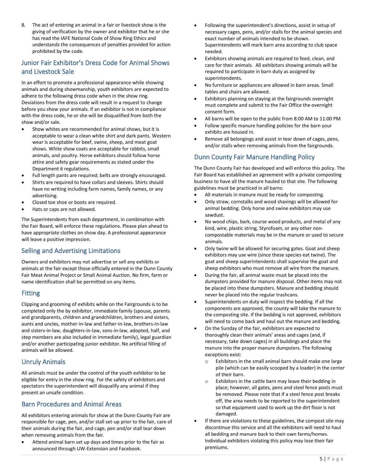8. The act of entering an animal in a fair or livestock show is the giving of verification by the owner and exhibitor that he or she has read the IAFE National Code of Show Ring Ethics and understands the consequences of penalties provided for action prohibited by the code.

# <span id="page-5-0"></span>Junior Fair Exhibitor's Dress Code for Animal Shows and Livestock Sale

In an effort to promote a professional appearance while showing animals and during showmanship, youth exhibitors are expected to adhere to the following dress code when in the show ring. Deviations from the dress code will result in a request to change before you show your animals. If an exhibitor is not in compliance with the dress code, he or she will be disqualified from both the show and/or sale.

- Show whites are recommended for animal shows, but it is acceptable to wear a clean white shirt and dark pants. Western wear is acceptable for beef, swine, sheep, and meat goat shows. White show coats are acceptable for rabbits, small animals, and poultry. Horse exhibitors should follow horse attire and safety gear requirements as stated under the Department 6 regulations.
- Full length pants are required; belts are strongly encouraged.
- Shirts are required to have collars and sleeves. Shirts should have no writing including farm names, family names, or any advertising.
- Closed toe shoe or boots are required.
- Hats or caps are not allowed.

The Superintendents from each department, in combination with the Fair Board, will enforce these regulations. Please plan ahead to have appropriate clothes on show day. A professional appearance will leave a positive impression.

# <span id="page-5-1"></span>Selling and Advertising Limitations

Owners and exhibitors may not advertise or sell any exhibits or animals at the fair except those officially entered in the Dunn County Fair Meat Animal Project or Small Animal Auction. No firm, farm or name identification shall be permitted on any items.

## <span id="page-5-2"></span>Fitting

Clipping and grooming of exhibits while on the Fairgrounds is to be completed only the by exhibitor, immediate family (spouse, parents and grandparents, children and grandchildren, brothers and sisters, aunts and uncles, mother-in-law and father-in-law, brothers-in-law and sisters-in-law, daughters-in-law, sons-in-law, adopted, half, and step members are also included in immediate family), legal guardian and/or another participating junior exhibitor. No artificial filling of animals will be allowed.

## <span id="page-5-3"></span>Unruly Animals

All animals must be under the control of the youth exhibitor to be eligible for entry in the show ring. For the safety of exhibitors and spectators the superintendent will disqualify any animal if they present an unsafe condition.

# <span id="page-5-4"></span>Barn Procedures and Animal Areas

All exhibitors entering animals for show at the Dunn County Fair are responsible for cage, pen, and/or stall set-up prior to the fair, care of their animals during the fair, and cage, pen and/or stall tear down when removing animals from the fair.

• Attend animal barn set up days and times prior to the fair as announced through UW-Extension and Facebook.

- Following the superintendent's directions, assist in setup of necessary cages, pens, and/or stalls for the animal species and exact number of animals intended to be shown. Superintendents will mark barn area according to club space needed.
- Exhibitors showing animals are required to feed, clean, and care for their animals. All exhibitors showing animals will be required to participate in barn duty as assigned by superintendents.
- No furniture or appliances are allowed in barn areas. Small tables and chairs are allowed.
- Exhibitors planning on staying at the fairgrounds overnight must complete and submit to the Fair Office the overnight consent form.
- All barns will be open to the public from 8:00 AM to 11:00 PM
- Follow specific manure handling policies for the barn your exhibits are housed in.
- Remove all belongings and assist in tear down of cages, pens, and/or stalls when removing animals from the fairgrounds.

# <span id="page-5-5"></span>Dunn County Fair Manure Handling Policy

The Dunn County Fair has developed and will enforce this policy. The Fair Board has established an agreement with a private composting business to have all the manure hauled to that site. The following guidelines must be practiced in all barns:

- All materials in manure must be ready for composting.
- Only straw, cornstalks and wood shavings will be allowed for animal bedding. Only horse and swine exhibitors may use sawdust.
- No wood chips, bark, course wood products, and metal of any kind, wire, plastic string, Styrofoam, or any other noncompostable materials may be in the manure or used to secure animals.
- Only twine will be allowed for securing gates. Goat and sheep exhibitors may use wire (since these species eat twine). The goat and sheep superintendents shall supervise the goat and sheep exhibitors who must remove all wire from the manure.
- During the fair, all animal waste must be placed into the dumpsters provided for manure disposal. Other items may not be placed into these dumpsters. Manure and bedding should never be placed into the regular trashcans.
- Superintendents on duty will inspect the bedding. If all the components are approved, the county will take the manure to the composting site. If the bedding is not approved, exhibitors will need to come back and haul out the manure and bedding.
- On the Sunday of the fair, exhibitors are expected to thoroughly clean their animals' areas and cages (and, if necessary, take down cages) in all buildings and place the manure into the proper manure dumpsters. The following exceptions exist:
	- o Exhibitors in the small animal barn should make one large pile (which can be easily scooped by a loader) in the center of their barn.
	- o Exhibitors in the cattle barn may leave their bedding in place; however, all gates, pens and steel fence posts must be removed. Please note that if a steel fence post breaks off, the area needs to be reported to the superintendent so that equipment used to work up the dirt floor is not damaged.
- If there are violations to these guidelines, the compost site may discontinue this service and all the exhibitors will need to haul all bedding and manure back to their own farms/homes. Individual exhibitors violating this policy may lose their fair premiums.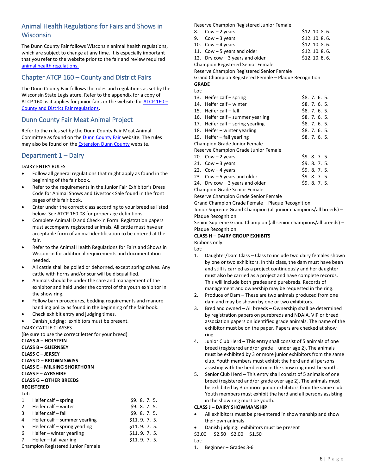# Animal Health Regulations for Fairs and Shows in Wisconsin

The Dunn County Fair follows Wisconsin animal health regulations, which are subject to change at any time. It is especially important that you refer to the website prior to the fair and review required [animal health regulations.](https://datcp.wi.gov/Documents/FairRulesAnimals.pdf)

## <span id="page-6-0"></span>Chapter ATCP 160 – County and District Fairs

The Dunn County Fair follows the rules and regulations as set by the Wisconsin State Legislature. Refer to the appendix for a copy of ATCP 160 as it applies for junior fairs or the website fo[r ATCP 160](https://docs.legis.wisconsin.gov/code/admin_code/atcp/140/160.pdf) – [County and District Fair regulations.](https://docs.legis.wisconsin.gov/code/admin_code/atcp/140/160.pdf)

## <span id="page-6-1"></span>Dunn County Fair Meat Animal Project

Refer to the rules set by the Dunn County Fair Meat Animal Committee as found on the **Dunn County Fair** website. The rules may also be found on the [Extension Dunn County](https://dunn.extension.wisc.edu/) website.

## <span id="page-6-2"></span>Department 1 – Dairy

#### DAIRY ENTRY RULES

- Follow all general regulations that might apply as found in the beginning of the fair book.
- Refer to the requirements in the Junior Fair Exhibitor's Dress Code for Animal Shows and Livestock Sale found in the front pages of this fair book.
- Enter under the correct class according to your breed as listed below. See ATCP 160.08 for proper age definitions.
- Complete Animal ID and Check-in Form. Registration papers must accompany registered animals. All cattle must have an acceptable form of animal identification to be entered at the fair.
- Refer to the Animal Health Regulations for Fairs and Shows in Wisconsin for additional requirements and documentation needed.
- All cattle shall be polled or dehorned, except spring calves. Any cattle with horns and/or scur will be disqualified.
- Animals should be under the care and management of the exhibitor and held under the control of the youth exhibitor in the show ring.
- Follow barn procedures, bedding requirements and manure handling policy as found in the beginning of the fair book.
- Check exhibit entry and judging times.
- Danish judging: exhibitors must be present.

DAIRY CATTLE CLASSES

**CLASS A – HOLSTEIN**

(Be sure to use the correct letter for your breed)

|                                   | <b>CLASS B – GUERNSEY</b><br><b>CLASS C - JERSEY</b><br><b>CLASS D - BROWN SWISS</b><br><b>CLASS E - MILKING SHORTHORN</b><br><b>CLASS F - AYRSHIRE</b><br><b>CLASS G - OTHER BREEDS</b> |             |  |
|-----------------------------------|------------------------------------------------------------------------------------------------------------------------------------------------------------------------------------------|-------------|--|
|                                   | <b>REGISTERED</b>                                                                                                                                                                        |             |  |
| Lot:                              |                                                                                                                                                                                          |             |  |
| 1.                                | Heifer calf – spring                                                                                                                                                                     | 59.8.7.5.   |  |
|                                   | 2. Heifer calf – winter                                                                                                                                                                  | 59.8.7.5.   |  |
|                                   | $3.$ Heifer calf $-$ fall                                                                                                                                                                | 59.8.7.5.   |  |
|                                   | 4. Heifer calf – summer yearling                                                                                                                                                         | \$11.9.7.5  |  |
| 5.                                | Heifer calf – spring yearling                                                                                                                                                            | \$11.9.7.5. |  |
| 6.                                | Heifer $-$ winter yearling                                                                                                                                                               | \$11.9.7.5. |  |
| 7.                                | Heifer $-$ fall yearling                                                                                                                                                                 | \$11.9.7.5. |  |
| Champion Registered Junior Female |                                                                                                                                                                                          |             |  |

Reserve Champion Registered Junior Female

|                                      | Reserve Champion Registered Junior Female             |              |  |
|--------------------------------------|-------------------------------------------------------|--------------|--|
| 8.                                   | $Cow - 2 years$                                       | \$12.10.8.6. |  |
| 9.                                   | $Cow - 3$ years                                       | \$12.10.8.6. |  |
|                                      | 10. Cow $-4$ years                                    | \$12.10.8.6. |  |
|                                      | 11. Cow $-5$ years and older                          | \$12.10.8.6. |  |
|                                      | 12. Dry cow $-3$ years and older                      | \$12.10.8.6. |  |
|                                      | <b>Champion Registered Senior Female</b>              |              |  |
|                                      | Reserve Champion Registered Senior Female             |              |  |
|                                      | Grand Champion Registered Female – Plaque Recognition |              |  |
| <b>GRADE</b>                         |                                                       |              |  |
| Lot:                                 |                                                       |              |  |
|                                      | 13. Heifer calf – spring                              | \$8.7.6.5.   |  |
|                                      | 14. Heifer calf - winter                              | \$8.7.6.5.   |  |
|                                      | 15. Heifer calf - fall                                | \$8.7.6.5.   |  |
|                                      | 16. Heifer calf – summer yearling                     | \$8.7.6.5.   |  |
|                                      | 17. Heifer calf – spring yearling                     | \$8.7.6.5.   |  |
|                                      | 18. Heifer – winter yearling                          | \$8.7.6.5.   |  |
|                                      | 19. Heifer $-$ fall yearling                          | \$8.7.6.5.   |  |
| Champion Grade Junior Female         |                                                       |              |  |
| Reserve Champion Grade Junior Female |                                                       |              |  |
|                                      |                                                       |              |  |

| 20. Cow $-2$ years               | \$9.8.7.5 |  |  |
|----------------------------------|-----------|--|--|
| 21. Cow – 3 years                | 59.8.7.5. |  |  |
| 22. Cow – 4 years                | 59.8.7.5. |  |  |
| 23. Cow – 5 years and older      | 59.8.7.5. |  |  |
| 24. Dry cow $-3$ years and older | \$9.8.7.5 |  |  |

Champion Grade Senior Female

Reserve Champion Grade Senior Female

Grand Champion Grade Female – Plaque Recognition

Junior Supreme Grand Champion (all junior champions/all breeds) – Plaque Recognition

Senior Supreme Grand Champion (all senior champions/all breeds) – Plaque Recognition

#### **CLASS H – DAIRY GROUP EXHIBITS**

Ribbons only Lot:

- 1. Daughter/Dam Class Class to include two dairy females shown by one or two exhibitors. In this class, the dam must have been and still is carried as a project continuously and her daughter must also be carried as a project and have complete records. This will include both grades and purebreds. Records of management and ownership may be requested in the ring.
- 2. Produce of Dam These are two animals produced from one dam and may be shown by one or two exhibitors.
- 3. Bred and owned All breeds Ownership shall be determined by registration papers on purebreds and NDAIA, VIP or breed association papers on identified grade animals. The name of the exhibitor must be on the paper. Papers are checked at show ring.
- 4. Junior Club Herd This entry shall consist of 5 animals of one breed (registered and/or grade – under age 2). The animals must be exhibited by 3 or more junior exhibitors from the same club. Youth members must exhibit the herd and all persons assisting with the herd entry in the show ring must be youth.
- 5. Senior Club Herd This entry shall consist of 5 animals of one breed (registered and/or grade over age 2). The animals must be exhibited by 3 or more junior exhibitors from the same club. Youth members must exhibit the herd and all persons assisting in the show ring must be youth.

#### **CLASS J – DAIRY SHOWMANSHIP**

- All exhibitors must be pre-entered in showmanship and show their own animals
- Danish judging: exhibitors must be present
- \$3.00 \$2.50 \$2.00 \$1.50

 $Int$ 

1. Beginner – Grades 3-6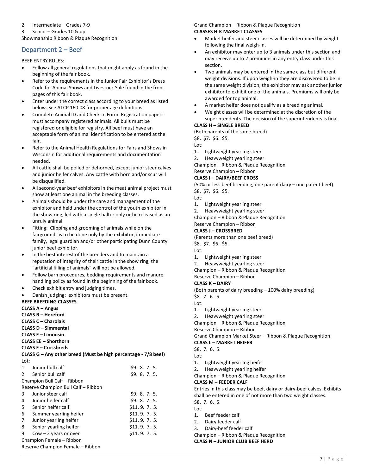#### 2. Intermediate – Grades 7-9

3. Senior – Grades 10 & up

Showmanship Ribbon & Plaque Recognition

# <span id="page-7-0"></span>Department 2 – Beef

BEEF ENTRY RULES:

- Follow all general regulations that might apply as found in the beginning of the fair book.
- Refer to the requirements in the Junior Fair Exhibitor's Dress Code for Animal Shows and Livestock Sale found in the front pages of this fair book.
- Enter under the correct class according to your breed as listed below. See ATCP 160.08 for proper age definitions.
- Complete Animal ID and Check-in Form. Registration papers must accompany registered animals. All bulls must be registered or eligible for registry. All beef must have an acceptable form of animal identification to be entered at the fair.
- Refer to the Animal Health Regulations for Fairs and Shows in Wisconsin for additional requirements and documentation needed.
- All cattle shall be polled or dehorned, except junior steer calves and junior heifer calves. Any cattle with horn and/or scur will be disqualified.
- All second-year beef exhibitors in the meat animal project must show at least one animal in the breeding classes.
- Animals should be under the care and management of the exhibitor and held under the control of the youth exhibitor in the show ring, led with a single halter only or be released as an unruly animal.
- Fitting: Clipping and grooming of animals while on the fairgrounds is to be done only by the exhibitor, immediate family, legal guardian and/or other participating Dunn County junior beef exhibitor.
- In the best interest of the breeders and to maintain a reputation of integrity of their cattle in the show ring, the "artificial filling of animals" will not be allowed.
- Follow barn procedures, bedding requirements and manure handling policy as found in the beginning of the fair book.
- Check exhibit entry and judging times.
- Danish judging: exhibitors must be present.

## **BEEF BREEDING CLASSES**

**CLASS A – Angus**

**CLASS B – Hereford**

- **CLASS C – Charolais**
- **CLASS D – Simmental**
- **CLASS E – Limousin CLASS EE – Shorthorn**
- **CLASS F – Crossbreds**

**CLASS G – Any other breed (Must be high percentage - 7/8 beef)** Lot:

| $\mathbf{1}$ .                   | Junior bull calf                    | \$9, 8, 7, 5. |  |
|----------------------------------|-------------------------------------|---------------|--|
| 2.                               | Senior bull calf                    | \$9, 8, 7, 5. |  |
|                                  | Champion Bull Calf - Ribbon         |               |  |
|                                  | Reserve Champion Bull Calf - Ribbon |               |  |
| 3.                               | Junior steer calf                   | \$9.8.7.5.    |  |
| 4.                               | Junior heifer calf                  | \$9.8.7.5.    |  |
| 5.                               | Senior heifer calf                  | \$11.9.7.5.   |  |
| 6.                               | Summer yearling heifer              | \$11.9.7.5.   |  |
| 7.                               | Junior yearling heifer              | \$11.9.7.5.   |  |
| 8.                               | Senior yearling heifer              | \$11.9.7.5.   |  |
| 9.                               | $Cow - 2$ years or over             | \$11.9.7.5.   |  |
| Champion Female - Ribbon         |                                     |               |  |
| Reserve Champion Female - Ribbon |                                     |               |  |

Grand Champion – Ribbon & Plaque Recognition **CLASSES H-K MARKET CLASSES**

- Market heifer and steer classes will be determined by weight following the final weigh-in.
- An exhibitor may enter up to 3 animals under this section and may receive up to 2 premiums in any entry class under this section.
- Two animals may be entered in the same class but different weight divisions. If upon weigh-in they are discovered to be in the same weight division, the exhibitor may ask another junior exhibitor to exhibit one of the animals. Premiums will only be awarded for top animal.
- A market heifer does not qualify as a breeding animal.
- Weight classes will be determined at the discretion of the superintendents. The decision of the superintendents is final.

# **CLASS H – SINGLE BREED**

(Both parents of the same breed)

\$8. \$7. \$6. \$5.

- Lot:
- 1. Lightweight yearling steer
- 2. Heavyweight yearling steer

Champion – Ribbon & Plaque Recognition

Reserve Champion – Ribbon

## **CLASS I – DAIRY/BEEF CROSS**

(50% or less beef breeding, one parent dairy – one parent beef) \$8. \$7. \$6. \$5.

Lot:

- 1. Lightweight yearling steer
- 2. Heavyweight yearling steer

Champion – Ribbon & Plaque Recognition

## Reserve Champion – Ribbon

**CLASS J – CROSSBRED**

(Parents more than one beef breed)

\$8. \$7. \$6. \$5.

- Lot:
- 1. Lightweight yearling steer
- 2. Heavyweight yearling steer

Champion – Ribbon & Plaque Recognition

## Reserve Champion – Ribbon

## **CLASS K – DAIRY**

(Both parents of dairy breeding – 100% dairy breeding)

\$8. 7. 6. 5.

- Lot:
- 1. Lightweight yearling steer
- 2. Heavyweight yearling steer

Champion – Ribbon & Plaque Recognition

Reserve Champion – Ribbon

Grand Champion Market Steer – Ribbon & Plaque Recognition

**CLASS L – MARKET HEIFER**

\$8. 7. 6. 5.

- Lot:
- 1. Lightweight yearling heifer
- 2. Heavyweight yearling heifer
- Champion Ribbon & Plaque Recognition

#### **CLASS M – FEEDER CALF**

Entries in this class may be beef, dairy or dairy-beef calves. Exhibits shall be entered in one of not more than two weight classes.

- \$8. 7. 6. 5.
- Lot:
- 1. Beef feeder calf
- 2. Dairy feeder calf
- 3. Dairy-beef feeder calf

Champion – Ribbon & Plaque Recognition

**CLASS N – JUNIOR CLUB BEEF HERD**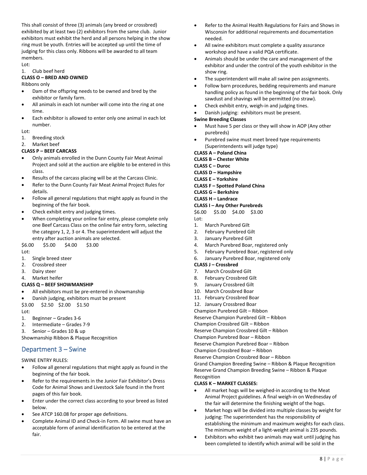This shall consist of three (3) animals (any breed or crossbred) exhibited by at least two (2) exhibitors from the same club. Junior exhibitors must exhibit the herd and all persons helping in the show ring must be youth. Entries will be accepted up until the time of judging for this class only. Ribbons will be awarded to all team members.

#### $Int$ 1. Club beef herd

## **CLASS O – BRED AND OWNED**

#### Ribbons only

- Dam of the offspring needs to be owned and bred by the exhibitor or family farm.
- All animals in each lot number will come into the ring at one time.
- Each exhibitor is allowed to enter only one animal in each lot number.

#### Lot:

- 1. Breeding stock
- 2. Market beef

#### **CLASS P – BEEF CARCASS**

- Only animals enrolled in the Dunn County Fair Meat Animal Project and sold at the auction are eligible to be entered in this class.
- Results of the carcass placing will be at the Carcass Clinic.
- Refer to the Dunn County Fair Meat Animal Project Rules for details.
- Follow all general regulations that might apply as found in the beginning of the fair book.
- Check exhibit entry and judging times.
- When completing your online fair entry, please complete only one Beef Carcass Class on the online fair entry form, selecting the category 1, 2, 3 or 4. The superintendent will adjust the entry after auction animals are selected.

\$6.00 \$5.00 \$4.00 \$3.00

Lot:

- 1. Single breed steer
- 2. Crossbred steer
- 3. Dairy steer
- 4. Market heifer

### **CLASS Q – BEEF SHOWMANSHIP**

- All exhibitors must be pre-entered in showmanship
- Danish judging, exhibitors must be present
- \$3.00 \$2.50 \$2.00 \$1.50

Lot:

- 1. Beginner Grades 3-6
- 2. Intermediate Grades 7-9
- 3. Senior Grades 10 & up

Showmanship Ribbon & Plaque Recognition

## <span id="page-8-0"></span>Department 3 – Swine

SWINE ENTRY RULES:

- Follow all general regulations that might apply as found in the beginning of the fair book.
- Refer to the requirements in the Junior Fair Exhibitor's Dress Code for Animal Shows and Livestock Sale found in the front pages of this fair book.
- Enter under the correct class according to your breed as listed below.
- See ATCP 160.08 for proper age definitions.
- Complete Animal ID and Check-in Form. All swine must have an acceptable form of animal identification to be entered at the fair.
- Refer to the Animal Health Regulations for Fairs and Shows in Wisconsin for additional requirements and documentation needed.
- All swine exhibitors must complete a quality assurance workshop and have a valid PQA certificate.
- Animals should be under the care and management of the exhibitor and under the control of the youth exhibitor in the show ring.
- The superintendent will make all swine pen assignments.
- Follow barn procedures, bedding requirements and manure handling policy as found in the beginning of the fair book. Only sawdust and shavings will be permitted (no straw).
- Check exhibit entry, weigh-in and judging tines.
- Danish judging: exhibitors must be present.

#### **Swine Breeding Classes**

- Must have 5 per class or they will show in AOP (Any other purebreds)
- Purebred swine must meet breed type requirements (Superintendents will judge type)

#### **CLASS A – Poland China**

**CLASS B – Chester White**

- **CLASS C – Duroc**
- **CLASS D – Hampshire**
- **CLASS E – Yorkshire**
- **CLASS F – Spotted Poland China**
- **CLASS G – Berkshire**

#### **CLASS H – Landrace**

- **CLASS I – Any Other Purebreds**
- \$6.00 \$5.00 \$4.00 \$3.00
- Lot:
- 1. March Purebred Gilt
- 2. February Purebred Gilt
- 3. January Purebred Gilt
- 4. March Purebred Boar, registered only
- 5. February Purebred Boar, registered only
- 6. January Purebred Boar, registered only

#### **CLASS J – Crossbred**

- 7. March Crossbred Gilt
- 8. February Crossbred Gilt
- 9. January Crossbred Gilt
- 10. March Crossbred Boar
- 11. February Crossbred Boar

12. January Crossbred Boar

Champion Purebred Gilt – Ribbon Reserve Champion Purebred Gilt – Ribbon

Champion Crossbred Gilt – Ribbon

Reserve Champion Crossbred Gilt – Ribbon

Champion Purebred Boar – Ribbon

Reserve Champion Purebred Boar – Ribbon

Champion Crossbred Boar – Ribbon

Reserve Champion Crossbred Boar – Ribbon

Grand Champion Breeding Swine – Ribbon & Plaque Recognition Reserve Grand Champion Breeding Swine – Ribbon & Plaque Recognition

#### **CLASS K – MARKET CLASSES:**

- All market hogs will be weighed-in according to the Meat Animal Project guidelines. A final weigh-in on Wednesday of the fair will determine the finishing weight of the hogs.
- Market hogs will be divided into multiple classes by weight for judging: The superintendent has the responsibility of establishing the minimum and maximum weights for each class. The minimum weight of a light-weight animal is 235 pounds.
- Exhibitors who exhibit two animals may wait until judging has been completed to identify which animal will be sold in the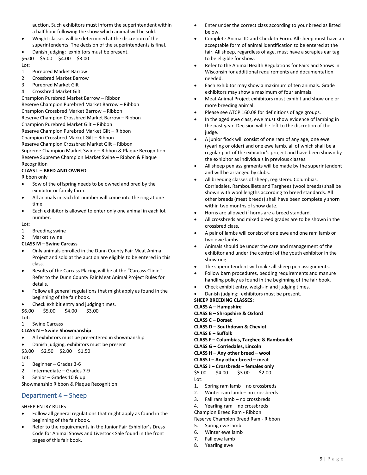auction. Such exhibitors must inform the superintendent within a half hour following the show which animal will be sold.

- Weight classes will be determined at the discretion of the superintendents. The decision of the superintendents is final.
- Danish judging: exhibitors must be present.

\$6.00 \$5.00 \$4.00 \$3.00 Lot:

- 1. Purebred Market Barrow
- 2. Crossbred Market Barrow
- 3. Purebred Market Gilt
- 4. Crossbred Market Gilt

Champion Purebred Market Barrow – Ribbon Reserve Champion Purebred Market Barrow – Ribbon Champion Crossbred Market Barrow – Ribbon Reserve Champion Crossbred Market Barrow – Ribbon Champion Purebred Market Gilt – Ribbon Reserve Champion Purebred Market Gilt – Ribbon Champion Crossbred Market Gilt – Ribbon Reserve Champion Crossbred Market Gilt – Ribbon Supreme Champion Market Swine – Ribbon & Plaque Recognition Reserve Supreme Champion Market Swine – Ribbon & Plaque Recognition

# **CLASS L – BRED AND OWNED**

Ribbon only

- Sow of the offspring needs to be owned and bred by the exhibitor or family farm.
- All animals in each lot number will come into the ring at one time.
- Each exhibitor is allowed to enter only one animal in each lot number.

#### Lot:

1. Breeding swine

2. Market swine

#### **CLASS M – Swine Carcass**

- Only animals enrolled in the Dunn County Fair Meat Animal Project and sold at the auction are eligible to be entered in this class.
- Results of the Carcass Placing will be at the "Carcass Clinic." Refer to the Dunn County Fair Meat Animal Project Rules for details.
- Follow all general regulations that might apply as found in the beginning of the fair book.
- Check exhibit entry and judging times.

\$6.00 \$5.00 \$4.00 \$3.00

Lot:

#### 1. Swine Carcass **CLASS N – Swine Showmanship**

- All exhibitors must be pre-entered in showmanship
- Danish judging, exhibitors must be present

\$3.00 \$2.50 \$2.00 \$1.50

Lot:

- 1. Beginner Grades 3-6
- 2. Intermediate Grades 7-9
- 3. Senior Grades 10 & up

Showmanship Ribbon & Plaque Recognition

## <span id="page-9-0"></span>Department 4 – Sheep

#### SHEEP ENTRY RULES

- Follow all general regulations that might apply as found in the beginning of the fair book.
- Refer to the requirements in the Junior Fair Exhibitor's Dress Code for Animal Shows and Livestock Sale found in the front pages of this fair book.
- Enter under the correct class according to your breed as listed below.
- Complete Animal ID and Check-In Form. All sheep must have an acceptable form of animal identification to be entered at the fair. All sheep, regardless of age, must have a scrapies ear tag to be eligible for show.
- Refer to the Animal Health Regulations for Fairs and Shows in Wisconsin for additional requirements and documentation needed.
- Each exhibitor may show a maximum of ten animals. Grade exhibitors may show a maximum of four animals.
- Meat Animal Project exhibitors must exhibit and show one or more breeding animal.
- Please see ATCP 160.08 for definitions of age groups.
- In the aged ewe class, ewe must show evidence of lambing in the past year. Decision will be left to the discretion of the judge.
- A junior flock will consist of one ram of any age, one ewe (yearling or older) and one ewe lamb, all of which shall be a regular part of the exhibitor's project and have been shown by the exhibitor as individuals in previous classes.
- All sheep pen assignments will be made by the superintendent and will be arranged by clubs.
- All breeding classes of sheep, registered Columbias, Corriedales, Rambouillets and Targhees (wool breeds) shall be shown with wool lengths according to breed standards. All other breeds (meat breeds) shall have been completely shorn within two months of show date.
- Horns are allowed if horns are a breed standard.
- All crossbreds and mixed breed grades are to be shown in the crossbred class.
- A pair of lambs will consist of one ewe and one ram lamb or two ewe lambs.
- Animals should be under the care and management of the exhibitor and under the control of the youth exhibitor in the show ring.
- The superintendent will make all sheep pen assignments.
- Follow barn procedures, bedding requirements and manure handling policy as found in the beginning of the fair book.
- Check exhibit entry, weigh-in and judging times.
- Danish judging: exhibitors must be present.

**SHEEP BREEDING CLASSES:**

- **CLASS A – Hampshire**
- **CLASS B – Shropshire & Oxford**
- **CLASS C – Dorset**
- **CLASS D – Southdown & Cheviot**
- **CLASS E – Suffolk**
- **CLASS F – Columbias, Targhee & Rambouilet**
- **CLASS G – Corriedales, Lincoln**
- **CLASS H – Any other breed – wool**
- **CLASS I – Any other breed – meat**
- **CLASS J – Crossbreds – females only**
- \$5.00 \$4.00 \$3.00 \$2.00 Lot:
- 1. Spring ram lamb no crossbreds
- 2. Winter ram lamb no crossbreds
- 3. Fall ram lamb no crossbreds
- 4. Yearling ram no crossbreds
- Champion Breed Ram Ribbon

Reserve Champion Breed Ram - Ribbon

- 5. Spring ewe lamb
- 6. Winter ewe lamb
- 7. Fall ewe lamb
- 8. Yearling ewe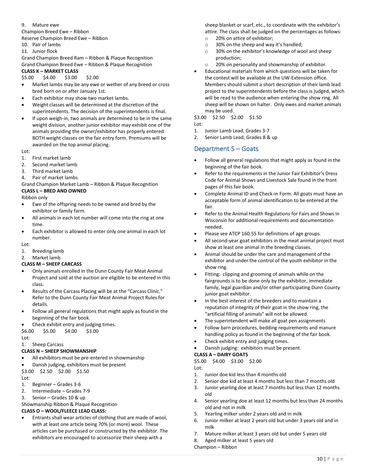#### 9. Mature ewe Champion Breed Ewe – Ribbon

Reserve Champion Breed Ewe – Ribbon

- 10. Pair of lambs
- 11. Junior flock

Grand Champion Breed Ram – Ribbon & Plaque Recognition Grand Champion Breed Ewe – Ribbon & Plaque Recognition

### **CLASS K – MARKET CLASS**

\$5.00 \$4.00 \$3.00 \$2.00

- Market lambs may be any ewe or wether of any breed or cross bred born on or after January 1st.
- Each exhibitor may show two market lambs.
- Weight classes will be determined at the discretion of the superintendents. The decision of the superintendents is final.
- If upon weigh-in, two animals are determined to be in the same weight division, another junior exhibitor may exhibit one of the animals providing the owner/exhibitor has properly entered BOTH weight classes on the fair entry form. Premiums will be awarded on the top animal placing.

 $Int$ 

- 1. First market lamb
- 2. Second market lamb
- 3. Third market lamb
- 4. Pair of market lambs

Grand Champion Market Lamb – Ribbon & Plaque Recognition **CLASS L – BRED AND OWNED**

Ribbon only

- Ewe of the offspring needs to be owned and bred by the exhibitor or family farm.
- All animals in each lot number will come into the ring at one time.
- Each exhibitor is allowed to enter only one animal in each lot number.

 $Int$ 

1. Breeding lamb

2. Market lamb

#### **CLASS M – SHEEP CARCASS**

- Only animals enrolled in the Dunn County Fair Meat Animal Project and sold at the auction are eligible to be entered in this class.
- Results of the Carcass Placing will be at the "Carcass Clinic." Refer to the Dunn County Fair Meat Animal Project Rules for details.
- Follow all general regulations that might apply as found in the beginning of the fair book.

#### • Check exhibit entry and judging times.

\$6.00 \$5.00 \$4.00 \$3.00

Lot:

#### 1. Sheep Carcass **CLASS N – SHEEP SHOWMANSHIP**

- All exhibitors must be pre-entered in showmanship
- Danish judging, exhibitors must be present

\$3.00 \$2.50 \$2.00 \$1.50  $Int$ 

- 1. Beginner Grades 3-6
- 2. Intermediate Grades 7-9
- 3. Senior Grades 10 & up

Showmanship Ribbon & Plaque Recognition

#### **CLASS O – WOOL/FLEECE LEAD CLASS:**

• Entrants shall wear articles of clothing that are made of wool, with at least one article being 70% (or more) wool. These articles can be purchased or constructed by the exhibitor. The exhibitors are encouraged to accessorize their sheep with a

sheep blanket or scarf, etc., to coordinate with the exhibitor's attire. The class shall be judged on the percentages as follows:

- o 20% on attire of exhibitor;
- o 30% on the sheep and way it's handled;
- o 30% on the exhibitor's knowledge of wool and sheep production;
- o 20% on personality and showmanship of exhibitor.
- Educational materials from which questions will be taken for the contest will be available at the UW-Extension office. Members should submit a short description of their lamb lead project to the superintendents before the class is judged, which will be read to the audience when entering the show ring. All sheep will be shown on halter. Only ewes and market animals may be used.

\$3.00 \$2.50 \$2.00 \$1.50

Lot:

- 1. Junior Lamb Lead, Grades 3-7
- 2. Senior Lamb Lead, Grades 8 & up

## <span id="page-10-0"></span>Department 5 – Goats

- Follow all general regulations that might apply as found in the beginning of the fair book.
- Refer to the requirements in the Junior Fair Exhibitor's Dress Code for Animal Shows and Livestock Sale found in the front pages of this fair book.
- Complete Animal ID and Check-in Form. All goats must have an acceptable form of animal identification to be entered at the fair.
- Refer to the Animal Health Regulations for Fairs and Shows in Wisconsin for additional requirements and documentation needed.
- Please see ATCP 160.55 for definitions of age groups.
- All second-year goat exhibitors in the meat animal project must show at least one animal in the breeding classes.
- Animal should be under the care and management of the exhibitor and under the control of the youth exhibitor in the show ring.
- Fitting: clipping and grooming of animals while on the fairgrounds is to be done only by the exhibitor, immediate family, legal guardian and/or other participating Dunn County junior goat exhibitor.
- In the best interest of the breeders and to maintain a reputation of integrity of their goat in the show ring, the "artificial filling of animals" will not be allowed.
- The superintendent will make all goat pen assignments
- Follow barn procedures, bedding requirements and manure handling policy as found in the beginning of the fair book.
- Check exhibit entry and judging times.
- Danish judging: exhibitors must be present.
- **CLASS A – DAIRY GOATS**
- \$5.00 \$4.00 \$3.00 \$2.00

Lot:

- 1. Junior doe kid less than 4 months old
- 2. Senior doe kid at least 4 months but less than 7 months old
- 3. Junior yearling doe at least 7 months but less than 12 months old
- 4. Senior yearling doe at least 12 months but less than 24 months old and not in milk
- 5. Yearling milker under 2 years old and in milk
- 6. Junior milker at least 2 years old but under 3 years old and in milk
- 7. Mature milker at least 3 years old but under 5 years old
- 8. Aged milker at least 5 years old

Champion – Ribbon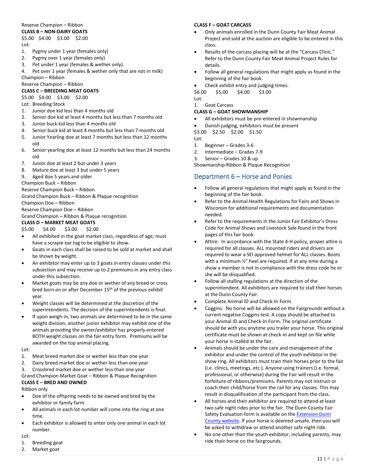## Reserve Champion – Ribbon

## **CLASS B – NON-DAIRY GOATS**

#### \$5.00 \$4.00 \$3.00 \$2.00 Lot:

- 1. Pygmy under 1 year (females only)
- 2. Pygmy over 1 year (females only)
- 3. Pet under 1 year (females & wether only)
- 4. Pet over 1 year (females & wether only that are not in milk)

Champion – Ribbon Reserve Champion – Ribbon

### **CLASS C – BREEDING MEAT GOATS**

\$5.00 \$4.00 \$3.00 \$2.00

Lot: Breeding Stock

- 1. Junior doe kid less than 4 months old
- 2. Senior doe kid at least 4 months but less than 7 months old
- 3. Junior buck kid less than 4 months old
- 4. Senior buck kid at least 4 months but less than 7 months old
- 5. Junior Yearling doe at least 7 months but less than 12 months old
- 6. Senior yearling doe at least 12 months but less than 24 months old
- 7. Junior doe at least 2 but under 3 years
- 8. Mature doe at least 3 but under 5 years
- 9. Aged doe 5 years and older
- Champion Buck Ribbon

Reserve Champion Buck – Ribbon

Grand Champion Buck – Ribbon & Plaque recognition

Champion Doe – Ribbon

Reserve Champion Doe – Ribbon

Grand Champion – Ribbon & Plaque recognition

## **CLASS D – MARKET MEAT GOATS**

#### \$5.00 \$4.00 \$3.00 \$2.00

- All exhibited in the goat market class, regardless of age, must have a scrapie ear tag to be eligible to show.
- Goats in each class shall be raised to be sold at market and shall be shown by weight.
- An exhibitor may enter up to 3 goats in entry classes under this subsection and may receive up to 2 premiums in any entry class under this subsection.
- Market goats may be any doe or wether of any breed or cross bred born on or after December 15th of the previous exhibit year.
- Weight classes will be determined at the discretion of the superintendents. The decision of the superintendents is final.
- If upon weigh-in, two animals are determined to be in the same weight division, another junior exhibitor may exhibit one of the animals providing the owner/exhibitor has properly entered BOTH weight classes on the fair entry form. Premiums will be awarded on the top animal placing.

#### Lot:

- 1. Meat breed market doe or wether less than one year
- 2. Dairy breed market doe or wether less than one year
- 3. Crossbred market doe or wether less than one year

Grand Champion Market Goat – Ribbon & Plaque Recognition **CLASS E – BRED AND OWNED**

Ribbon only

- Doe of the offspring needs to be owned and bred by the exhibitor or family farm.
- All animals in each lot number will come into the ring at one time.
- Each exhibitor is allowed to enter only one animal in each lot number.

#### Lot:

- 1. Breeding goat
- 2. Market goat

#### **CLASS F – GOAT CARCASS**

- Only animals enrolled in the Dunn County Fair Meat Animal Project and sold at the auction are eligible to be entered in this class.
- Results of the carcass placing will be at the "Carcass Clinic." Refer to the Dunn County Fair Meat Animal Project Rules for details.
- Follow all general regulations that might apply as found in the beginning of the fair book.
- Check exhibit entry and judging times.

\$6.00 \$5.00 \$4.00 \$3.00

Lot: 1. Goat Carcass

### **CLASS G – GOAT SHOWMANSHIP**

- All exhibitors must be pre-entered in showmanship
- Danish judging, exhibitors must be present
- \$3.00 \$2.50 \$2.00 \$1.50
- Lot:
- 1. Beginner Grades 3-6
- 2. Intermediate Grades 7-9
- 3. Senior Grades 10 & up

Showmanship Ribbon & Plaque Recognition

## <span id="page-11-0"></span>Department 6 – Horse and Ponies

- Follow all general regulations that might apply as found in the beginning of the fair book.
- Refer to the Animal Health Regulations for Fairs and Shows in Wisconsin for additional requirements and documentation needed.
- Refer to the requirements in the Junior Fair Exhibitor's Dress Code for Animal Shows and Livestock Sale found in the front pages of this fair book.
- Attire: In accordance with the State 4-H policy, proper attire is required for all classes. ALL mounted riders and drivers are required to wear a SEI approved helmet for ALL classes. Boots with a minimum ½" heel are required. If at any time during a show a member is not in compliance with the dress code he or she will be disqualified.
- Follow all stalling regulations at the direction of the superintendent. All exhibitors are required to stall their horses at the Dunn County Fair.
- Complete Animal ID and Check-In Form.
- Coggins: No horse will be allowed on the Fairgrounds without a current negative Coggins test. A copy should be attached to your Animal ID and Check-In Form. The original certificate should be with you anytime you trailer your horse. This original certificate must be shown at check-in and kept on file while your horse is stalled at the fair.
- Animals should be under the care and management of the exhibitor and under the control of the youth exhibitor in the show ring. All exhibitors must train their horses prior to the fair (i.e. clinics, meetings, etc.). Anyone using trainers (i.e. formal, professional, or otherwise) during the Fair will result in the forfeiture of ribbons/premiums. Parents may not instruct or coach their child/horse from the rail for any classes. This may result in disqualification of the participant from the class.
- All horses and their exhibitor are required to attend at least two safe night rides prior to the fair. The Dunn County Fair Safety Evaluation form is available on the [Extension Dunn](https://dunn.extension.wisc.edu/4-h-youth-development/projects/horse/)  [County website.](https://dunn.extension.wisc.edu/4-h-youth-development/projects/horse/) If your horse is deemed unsafe, then you will be asked to withdraw or attend another safe night ride.
- No one other than the youth exhibitor, including parents, may ride their horse on the fairgrounds.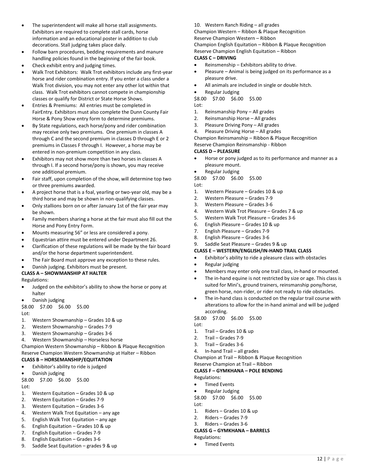- The superintendent will make all horse stall assignments. Exhibitors are required to complete stall cards, horse information and an educational poster in addition to club decorations. Stall judging takes place daily.
- Follow barn procedures, bedding requirements and manure handling policies found in the beginning of the fair book.
- Check exhibit entry and judging times.
- Walk Trot Exhibitors: Walk Trot exhibitors include any first-year horse and rider combination entry. If you enter a class under a Walk Trot division, you may not enter any other lot within that class. Walk Trot exhibitors cannot compete in championship classes or qualify for District or State Horse Shows.
- Entries & Premiums: All entries must be completed in FairEntry. Exhibitors must also complete the Dunn County Fair Horse & Pony Show entry form to determine premiums.
- By State regulations, each horse/pony and rider combination may receive only two premiums. One premium in classes A through C and the second premium in classes D through E or 2 premiums in Classes F through I. However, a horse may be entered in non-premium competition in any class.
- Exhibitors may not show more than two horses in classes A through I. If a second horse/pony is shown, you may receive one additional premium.
- Fair staff, upon completion of the show, will determine top two or three premiums awarded.
- A project horse that is a foal, yearling or two-year old, may be a third horse and may be shown in non-qualifying classes.
- Only stallions born on or after January 1st of the fair year may be shown.
- Family members sharing a horse at the fair must also fill out the Horse and Pony Entry Form.
- Mounts measuring 56" or less are considered a pony.
- Equestrian attire must be entered under Department 26.
- Clarification of these regulations will be made by the fair board and/or the horse department superintendent.
- The Fair Board must approve any exception to these rules.
- Danish judging. Exhibitors must be present.

#### **CLASS A – SHOWMANSHIP AT HALTER**

Regulations:

- Judged on the exhibitor's ability to show the horse or pony at halter
- Danish judging

\$8.00 \$7.00 \$6.00 \$5.00 Lot:

- 1. Western Showmanship Grades 10 & up
- 2. Western Showmanship Grades 7-9
- 3. Western Showmanship Grades 3-6
- 4. Western Showmanship Horseless horse

Champion Western Showmanship – Ribbon & Plaque Recognition Reserve Champion Western Showmanship at Halter – Ribbon **CLASS B – HORSEMANSHIP/EQUITATION**

- Exhibitor's ability to ride is judged
- Danish judging

\$8.00 \$7.00 \$6.00 \$5.00

Lot:

- 1. Western Equitation Grades 10 & up
- 2. Western Equitation Grades 7-9
- 3. Western Equitation Grades 3-6
- 4. Western Walk Trot Equitation any age
- 5. English Walk Trot Equitation any age
- 6. English Equitation Grades 10 & up
- 7. English Equitation Grades 7-9
- 8. English Equitation Grades 3-6
- 9. Saddle Seat Equitation grades 9 & up

#### 10. Western Ranch Riding – all grades

Champion Western – Ribbon & Plaque Recognition Reserve Champion Western – Ribbon Champion English Equitation – Ribbon & Plaque Recognition

Reserve Champion English Equitation – Ribbon

#### **CLASS C – DRIVING**

- Reinsmenship Exhibitors ability to drive.
- Pleasure Animal is being judged on its performance as a pleasure drive.
- All animals are included in single or double hitch.
- Regular Judging

\$8.00 \$7.00 \$6.00 \$5.00

- Lot:
- 1. Reinsmanship Pony All grades
- 2. Reinsmanship Horse All grades
- 3. Pleasure Driving Pony All grades
- 4. Pleasure Driving Horse All grades

Champion Reinsmanship – Ribbon & Plaque Recognition

Reserve Champion Reinsmanship - Ribbon

#### **CLASS D – PLEASURE**

- Horse or pony judged as to its performance and manner as a pleasure mount.
- Regular Judging

\$8.00 \$7.00 \$6.00 \$5.00

Lot:

- 1. Western Pleasure Grades 10 & up
- 2. Western Pleasure Grades 7-9
- 3. Western Pleasure Grades 3-6
- 4. Western Walk Trot Pleasure Grades 7 & up
- 5. Western Walk Trot Pleasure Grades 3-6
- 6. English Pleasure Grades 10 & up
- 7. English Pleasure Grades 7-9
- 8. English Pleasure Grades 3-6
- 9. Saddle Seat Pleasure Grades 9 & up

## **CLASS E – WESTERN/ENGLISH/IN-HAND TRAIL CLASS**

- Exhibitor's ability to ride a pleasure class with obstacles
- Regular judging
- Members may enter only one trail class, in-hand or mounted.
- The in-hand equine is not restricted by size or age. This class is suited for Mini's, ground trainers, reinsmanship pony/horse, green horse, non-rider, or rider not ready to ride obstacles.
- The in-hand class is conducted on the regular trail course with alterations to allow for the in-hand animal and will be judged according.

\$8.00 \$7.00 \$6.00 \$5.00

#### Lot:

- 1. Trail Grades 10 & up
- 2. Trail Grades 7-9
- 3. Trail Grades 3-6
- 4. In-hand Trail all grades
- Champion at Trail Ribbon & Plaque Recognition

#### Reserve Champion at Trail – Ribbon

**CLASS F – GYMKHANA – POLE BENDING**

Regulations:

- Timed Events
- Regular Judging
- \$8.00 \$7.00 \$6.00 \$5.00
- Lot:
- 1. Riders Grades 10 & up
- 2. Riders Grades 7-9
- 3. Riders Grades 3-6

#### **CLASS G – GYMKHANA – BARRELS** Regulations:

- 
- Timed Events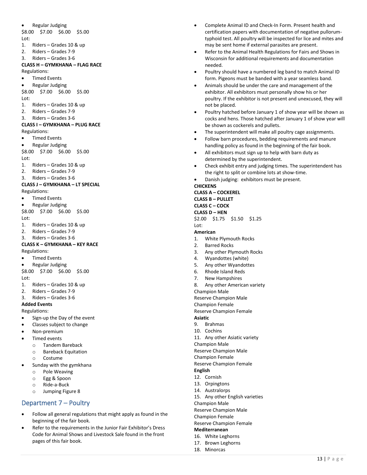• Regular Judging \$8.00 \$7.00 \$6.00 \$5.00 Lot: 1. Riders – Grades 10 & up 2. Riders – Grades 7-9 3. Riders – Grades 3-6 **CLASS H – GYMKHANA – FLAG RACE** Regulations: • Timed Events • Regular Judging \$8.00 \$7.00 \$6.00 \$5.00 Lot: 1. Riders – Grades 10 & up 2. Riders – Grades 7-9 3. Riders – Grades 3-6 **CLASS I – GYMKHANA – PLUG RACE** Regulations: • Timed Events • Regular Judging \$8.00 \$7.00 \$6.00 \$5.00 Lot: 1. Riders – Grades 10 & up 2. Riders – Grades 7-9 3. Riders – Grades 3-6 **CLASS J – GYMKHANA – LT SPECIAL** Regulations: **Timed Events** • Regular Judging \$8.00 \$7.00 \$6.00 \$5.00 Lot: 1. Riders – Grades 10 & up 2. Riders – Grades 7-9 3. Riders – Grades 3-6 **CLASS K – GYMKHANA – KEY RACE** Regulations: • Timed Events • Regular Judging \$8.00 \$7.00 \$6.00 \$5.00 Lot: 1. Riders – Grades 10 & up 2. Riders – Grades 7-9 3. Riders – Grades 3-6 **Added Events** Regulations: • Sign-up the Day of the event Classes subject to change • Non-premium • Timed events o Tandem Bareback o Bareback Equitation o Costume Sunday with the gymkhana o Pole Weaving o Egg & Spoon

- o Ride-a-Buck
- o Jumping Figure 8

## <span id="page-13-0"></span>Department 7 – Poultry

- Follow all general regulations that might apply as found in the beginning of the fair book.
- Refer to the requirements in the Junior Fair Exhibitor's Dress Code for Animal Shows and Livestock Sale found in the front pages of this fair book.
- Complete Animal ID and Check-In Form. Present health and certification papers with documentation of negative pullorumtyphoid test. All poultry will be inspected for lice and mites and may be sent home if external parasites are present.
- Refer to the Animal Health Regulations for Fairs and Shows in Wisconsin for additional requirements and documentation needed.
- Poultry should have a numbered leg band to match Animal ID form. Pigeons must be banded with a year seamless band.
- Animals should be under the care and management of the exhibitor. All exhibitors must personally show his or her poultry. If the exhibitor is not present and unexcused, they will not be placed.
- Poultry hatched before January 1 of show year will be shown as cocks and hens. Those hatched after January 1 of show year will be shown as cockerels and pullets.
- The superintendent will make all poultry cage assignments.
- Follow barn procedures, bedding requirements and manure handling policy as found in the beginning of the fair book.
- All exhibitors must sign up to help with barn duty as determined by the superintendent.
- Check exhibit entry and judging times. The superintendent has the right to split or combine lots at show-time.
- Danish judging: exhibitors must be present.

#### **CHICKENS**

**CLASS A – COCKEREL**

**CLASS B – PULLET CLASS C – COCK**

## **CLASS D – HEN**

\$2.00 \$1.75 \$1.50 \$1.25 Lot:

#### **American**

- 1. White Plymouth Rocks
- 2. Barred Rocks
- 3. Any other Plymouth Rocks
- 4. Wyandottes (white)
- 5. Any other Wyandottes<br>6. Rhode Island Reds
- 6. Rhode Island Reds
- 7. New Hampshires
- 8. Any other American variety
- Champion Male
- Reserve Champion Male
- Champion Female
- Reserve Champion Female **Asiatic**

# 9. Brahmas

- 10. Cochins
- 11. Any other Asiatic variety
- Champion Male

Reserve Champion Male

Champion Female

Reserve Champion Female

#### **English**

- 12. Cornish
- 13. Orpingtons
- 14. Australorps
- 15. Any other English varieties
- Champion Male
- Reserve Champion Male
- Champion Female
- Reserve Champion Female

# **Mediterranean**

- 16. White Leghorns
- 17. Brown Leghorns 18. Minorcas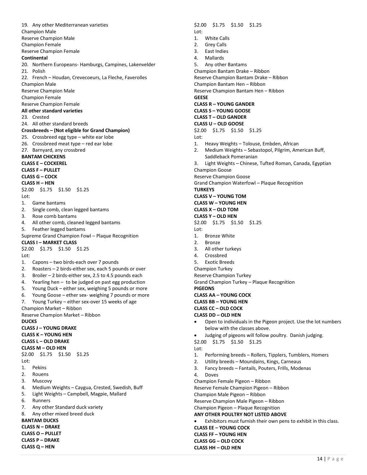19. Any other Mediterranean varieties Champion Male Reserve Champion Male Champion Female Reserve Champion Female **Continental**  20. Northern Europeans- Hamburgs, Campines, Lakenvelder 21. Polish 22. French – Houdan, Crevecoeurs, La Fleche, Faverolles Champion Male Reserve Champion Male Champion Female Reserve Champion Female **All other standard varieties** 23. Crested 24. All other standard breeds **Crossbreeds – (Not eligible for Grand Champion)** 25. Crossbreed egg type – white ear lobe 26. Crossbreed meat type – red ear lobe 27. Barnyard, any crossbred **BANTAM CHICKENS CLASS E – COCKEREL CLASS F – PULLET CLASS G – COCK CLASS H – HEN** \$2.00 \$1.75 \$1.50 \$1.25 Lot: 1. Game bantams 2. Single comb, clean legged bantams 3. Rose comb bantams 4. All other comb, cleaned legged bantams 5. Feather legged bantams Supreme Grand Champion Fowl – Plaque Recognition **CLASS I – MARKET CLASS** \$2.00 \$1.75 \$1.50 \$1.25  $Int$ 1. Capons – two birds-each over 7 pounds 2. Roasters – 2 birds-either sex, each 5 pounds or over 3. Broiler – 2 birds-either sex, 2.5 to 4.5 pounds each 4. Yearling hen – to be judged on past egg production 5. Young Duck – either sex, weighing 5 pounds or more 6. Young Goose – ether sex- weighing 7 pounds or more 7. Young Turkey – either sex-over 15 weeks of age Champion Market – Ribbon Reserve Champion Market – Ribbon **DUCKS CLASS J – YOUNG DRAKE CLASS K – YOUNG HEN CLASS L – OLD DRAKE CLASS M – OLD HEN** \$2.00 \$1.75 \$1.50 \$1.25 Lot: 1. Pekins 2. Rouens 3. Muscovy 4. Medium Weights – Caygua, Crested, Swedish, Buff 5. Light Weights – Campbell, Magpie, Mallard 6. Runners 7. Any other Standard duck variety 8. Any other mixed breed duck **BANTAM DUCKS CLASS N – DRAKE CLASS O – PULLET CLASS P – DRAKE CLASS Q – HEN**

\$2.00 \$1.75 \$1.50 \$1.25 Lot: 1. White Calls 2. Grey Calls 3. East Indies 4. Mallards 5. Any other Bantams Champion Bantam Drake – Ribbon Reserve Champion Bantam Drake – Ribbon Champion Bantam Hen – Ribbon Reserve Champion Bantam Hen – Ribbon **GEESE CLASS R – YOUNG GANDER CLASS S – YOUNG GOOSE CLASS T – OLD GANDER CLASS U – OLD GOOSE** \$2.00 \$1.75 \$1.50 \$1.25 Lot: 1. Heavy Weights – Tolouse, Embden, African 2. Medium Weights – Sebastopol, Pilgrim, American Buff, Saddleback Pomeranian 3. Light Weights – Chinese, Tufted Roman, Canada, Egyptian Champion Goose Reserve Champion Goose Grand Champion Waterfowl – Plaque Recognition **TURKEYS CLASS V – YOUNG TOM CLASS W – YOUNG HEN CLASS X – OLD TOM CLASS Y – OLD HEN** \$2.00 \$1.75 \$1.50 \$1.25 Lot: 1. Bronze White 2. Bronze 3. All other turkeys 4. Crossbred 5. Exotic Breeds Champion Turkey Reserve Champion Turkey Grand Champion Turkey – Plaque Recognition **PIGEONS CLASS AA – YOUNG COCK CLASS BB – YOUNG HEN CLASS CC – OLD COCK CLASS DD – OLD HEN** • Open to individuals in the Pigeon project. Use the lot numbers below with the classes above. • Judging of pigeons will follow poultry. Danish judging. \$2.00 \$1.75 \$1.50 \$1.25 Lot: 1. Performing breeds – Rollers, Tipplers, Tumblers, Homers 2. Utility breeds – Moundains, Kings, Carneaus 3. Fancy breeds – Fantails, Pouters, Frills, Modenas 4. Doves Champion Female Pigeon – Ribbon Reserve Female Champion Pigeon – Ribbon Champion Male Pigeon – Ribbon Reserve Champion Male Pigeon – Ribbon Champion Pigeon – Plaque Recognition **ANY OTHER POULTRY NOT LISTED ABOVE** Exhibitors must furnish their own pens to exhibit in this class. **CLASS EE – YOUNG COCK CLASS FF – YOUNG HEN CLASS GG – OLD COCK**

**CLASS HH – OLD HEN**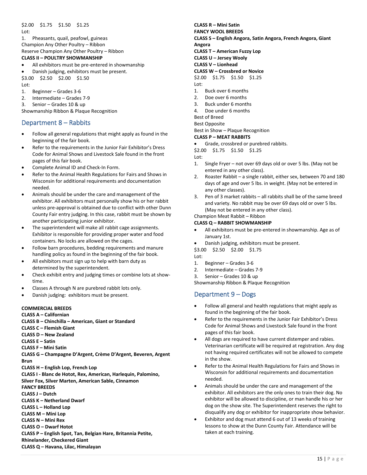#### \$2.00 \$1.75 \$1.50 \$1.25 Lot:

1. Pheasants, quail, peafowl, guineas Champion Any Other Poultry – Ribbon

Reserve Champion Any Other Poultry – Ribbon

### **CLASS II – POULTRY SHOWMANSHIP**

- All exhibitors must be pre-entered in showmanship
- Danish judging, exhibitors must be present.

\$3.00 \$2.50 \$2.00 \$1.50 Lot:

- 1. Beginner Grades 3-6
- 2. Intermediate Grades 7-9
- 3. Senior Grades 10 & up

Showmanship Ribbon & Plaque Recognition

## <span id="page-15-0"></span>Department 8 – Rabbits

- Follow all general regulations that might apply as found in the beginning of the fair book.
- Refer to the requirements in the Junior Fair Exhibitor's Dress Code for Animal Shows and Livestock Sale found in the front pages of this fair book.
- Complete Animal ID and Check-In Form.
- Refer to the Animal Health Regulations for Fairs and Shows in Wisconsin for additional requirements and documentation needed.
- Animals should be under the care and management of the exhibitor. All exhibitors must personally show his or her rabbit unless pre-approval is obtained due to conflict with other Dunn County Fair entry judging. In this case, rabbit must be shown by another participating junior exhibitor.
- The superintendent will make all rabbit cage assignments. Exhibitor is responsible for providing proper water and food containers. No locks are allowed on the cages.
- Follow barn procedures, bedding requirements and manure handling policy as found in the beginning of the fair book.
- All exhibitors must sign up to help with barn duty as determined by the superintendent.
- Check exhibit entry and judging times or combine lots at showtime.
- Classes A through N are purebred rabbit lots only.
- Danish judging: exhibitors must be present.

#### **COMMERCIAL BREEDS**

#### **CLASS A – Californian**

- **CLASS B – Chinchilla – American, Giant or Standard**
- **CLASS C – Flemish Giant**
- **CLASS D – New Zealand**
- **CLASS E – Satin**
- **CLASS F – Mini Satin**

**CLASS G – Champagne D'Argent, Crème D'Argent, Beveren, Argent Brun**

**CLASS H – English Lop, French Lop**

**CLASS I - Blanc de Hotot, Rex, American, Harlequin, Palomino,** 

**Silver Fox, Silver Marten, American Sable, Cinnamon**

- **FANCY BREEDS**
- **CLASS J – Dutch**
- **CLASS K – Netherland Dwarf**
- **CLASS L – Holland Lop**
- **CLASS M – Mini Lop**
- **CLASS N – Mini Rex**
- **CLASS O – Dwarf Hotot**

**CLASS P – English Spot, Tan, Belgian Hare, Britannia Petite,** 

**Rhinelander, Checkered Giant**

**CLASS Q – Havana, Lilac, Himalayan**

# **CLASS R – Mini Satin**

#### **FANCY WOOL BREEDS**

- **CLASS S – English Angora, Satin Angora, French Angora, Giant Angora**
- **CLASS T – American Fuzzy Lop**
- **CLASS U – Jersey Wooly**
- **CLASS V – Lionhead**

## **CLASS W – Crossbred or Novice**

\$2.00 \$1.75 \$1.50 \$1.25 Lot:

- 1. Buck over 6 months
- 2. Doe over 6 months
- 3. Buck under 6 months
- 4. Doe under 6 months
- Best of Breed
- Best Opposite
- 

#### Best in Show – Plaque Recognition **CLASS P – MEAT RABBITS**

- Grade, crossbred or purebred rabbits.
- \$2.00 \$1.75 \$1.50 \$1.25

#### Lot:

- 1. Single Fryer not over 69 days old or over 5 lbs. (May not be entered in any other class).
- 2. Roaster Rabbit a single rabbit, either sex, between 70 and 180 days of age and over 5 lbs. in weight. (May not be entered in any other classes).
- 3. Pen of 3 market rabbits all rabbits shall be of the same breed and variety. No rabbit may be over 69 days old or over 5 lbs. (May not be entered in any other class).
- Champion Meat Rabbit Ribbon

#### **CLASS Q – RABBIT SHOWMANSHIP**

- All exhibitors must be pre-entered in showmanship. Age as of January 1st.
- Danish judging, exhibitors must be present.

\$3.00 \$2.50 \$2.00 \$1.75

- Lot:
- 1. Beginner Grades 3-6
- 2. Intermediate Grades 7-9

3. Senior – Grades 10 & up

<span id="page-15-1"></span>Showmanship Ribbon & Plaque Recognition

## Department 9 – Dogs

- Follow all general and health regulations that might apply as found in the beginning of the fair book.
- Refer to the requirements in the Junior Fair Exhibitor's Dress Code for Animal Shows and Livestock Sale found in the front pages of this fair book.
- All dogs are required to have current distemper and rabies. Veterinarian certificate will be required at registration. Any dog not having required certificates will not be allowed to compete in the show.
- Refer to the Animal Health Regulations for Fairs and Shows in Wisconsin for additional requirements and documentation needed.
- Animals should be under the care and management of the exhibitor. All exhibitors are the only ones to train their dog. No exhibitor will be allowed to discipline, or man handle his or her dog on the show site. The Superintendent reserves the right to disqualify any dog or exhibitor for inappropriate show behavior.
- Exhibitor and dog must attend 6 out of 13 weeks of training lessons to show at the Dunn County Fair. Attendance will be taken at each training.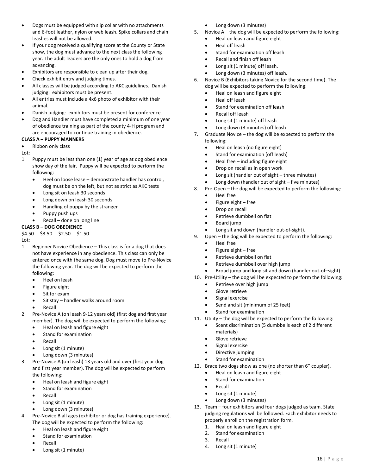- Dogs must be equipped with slip collar with no attachments and 6-foot leather, nylon or web leash. Spike collars and chain leashes will not be allowed.
- If your dog received a qualifying score at the County or State show, the dog must advance to the next class the following year. The adult leaders are the only ones to hold a dog from advancing.
- Exhibitors are responsible to clean up after their dog.
- Check exhibit entry and judging times.
- All classes will be judged according to AKC guidelines. Danish judging: exhibitors must be present.
- All entries must include a 4x6 photo of exhibitor with their animal.
- Danish judging: exhibitors must be present for conference.
- Dog and Handler must have completed a minimum of one year of obedience training as part of the county 4-H program and are encouraged to continue training in obedience.

#### **CLASS A – PUPPY MANNERS**

Ribbon only class

Lot:

- 1. Puppy must be less than one (1) year of age at dog obedience show day of the fair. Puppy will be expected to perform the following:
	- Heel on loose lease demonstrate handler has control, dog must be on the left, but not as strict as AKC tests
	- Long sit on leash 30 seconds
	- Long down on leash 30 seconds
	- Handling of puppy by the stranger
	- Puppy push ups
	- Recall done on long line

#### **CLASS B – DOG OBEDIENCE**

\$4.50 \$3.50 \$2.50 \$1.50

Lot:

- 1. Beginner Novice Obedience This class is for a dog that does not have experience in any obedience. This class can only be entered once with the same dog. Dog must move to Pre-Novice the following year. The dog will be expected to perform the following:
	- Heel on leash
	- Figure eight
	- Sit for exam
	- Sit stay handler walks around room
	- **Recall**
- 2. Pre-Novice A (on leash 9-12 years old) (first dog and first year member). The dog will be expected to perform the following:
	- Heal on leash and figure eight
	- Stand for examination
	- **Recall**
	- Long sit (1 minute)
	- Long down (3 minutes)
- 3. Pre-Novice A (on leash) 13 years old and over (first year dog and first year member). The dog will be expected to perform the following:
	- Heal on leash and figure eight
	- Stand for examination
	- **Recall**
	- Long sit (1 minute)
	- Long down (3 minutes)
- 4. Pre-Novice B all ages (exhibitor or dog has training experience). The dog will be expected to perform the following:
	- Heal on leash and figure eight
	- Stand for examination
	- **Recall**
	- Long sit (1 minute)
- Long down (3 minutes)
- 5. Novice A the dog will be expected to perform the following:
	- Heal on leash and figure eight
	- Heal off leash
	- Stand for examination off leash
	- Recall and finish off leash
	- Long sit (1 minute) off leash.
	- Long down (3 minutes) off leash.
- 6. Novice B (Exhibitors taking Novice for the second time). The dog will be expected to perform the following:
	- Heal on leash and figure eight
	- Heal off leash
	- Stand for examination off leash
	- Recall off leash
	- Long sit (1 minute) off leash
	- Long down (3 minutes) off leash
- 7. Graduate Novice the dog will be expected to perform the following:
	- Heal on leash (no figure eight)
	- Stand for examination (off leash)
	- Heal free including figure eight
	- Drop on recall as in open work
	- Long sit (handler out of sight three minutes)
	- Long down (handler out of sight five minutes)
- 8. Pre-Open the dog will be expected to perform the following:
	- Heel free
		- Figure eight free
		- Drop on recall
		- Retrieve dumbbell on flat
		- Board jump
		- Long sit and down (handler out-of-sight).
- 9. Open the dog will be expected to perform the following:
	- Heel free
	- Figure eight free
	- Retrieve dumbbell on flat
	- Retrieve dumbbell over high jump
	- Broad jump and long sit and down (handler out-of–sight)
- 10. Pre-Utility the dog will be expected to perform the following:
	- Retrieve over high jump
	- Glove retrieve
	- Signal exercise
	- Send and sit (minimum of 25 feet)
	- Stand for examination
- 11. Utility the dog will be expected to perform the following:
	- Scent discrimination (5 dumbbells each of 2 different materials)
		- Glove retrieve
	- Signal exercise
	- Directive jumping
	- Stand for examination
- 12. Brace two dogs show as one (no shorter than 6" coupler).
	- Heal on leash and figure eight
	- Stand for examination
	- Recall

3. Recall

- Long sit (1 minute)
- Long down (3 minutes)
- 13. Team four exhibitors and four dogs judged as team. State judging regulations will be followed. Each exhibitor needs to properly enroll on the registration form.

16 | P a g e

- 1. Heal on leash and figure eight
- 2. Stand for examination

4. Long sit (1 minute)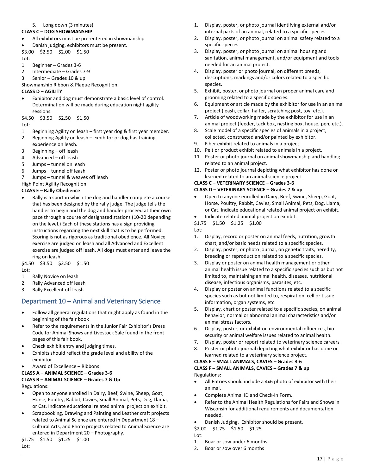#### 5. Long down (3 minutes)

#### **CLASS C – DOG SHOWMANSHIP**

- All exhibitors must be pre-entered in showmanship
- Danish judging, exhibitors must be present. \$3.00 \$2.50 \$2.00 \$1.50

Lot:

- 1. Beginner Grades 3-6
- 2. Intermediate Grades 7-9
- 3. Senior Grades 10 & up
- Showmanship Ribbon & Plaque Recognition

#### **CLASS D – AGILITY**

• Exhibitor and dog must demonstrate a basic level of control. Determination will be made during education night agility sessions.

\$4.50 \$3.50 \$2.50 \$1.50

Lot:

- 1. Beginning Agility on leash first year dog & first year member.
- 2. Beginning Agility on leash exhibitor or dog has training experience on leash.
- 3. Beginning off leash
- 4. Advanced off leash
- 5. Jumps tunnel on leash
- 6. Jumps tunnel off leash
- 7. Jumps tunnel & weaves off leash

High Point Agility Recognition

#### **CLASS E – Rally Obedience**

• Rally is a sport in which the dog and handler complete a course that has been designed by the rally judge. The judge tells the handler to begin and the dog and handler proceed at their own pace through a course of designated stations (10-20 depending on the level.) Each of these stations has a sign providing instructions regarding the next skill that is to be performed. Scoring is not as rigorous as traditional obedience. All Novice exercise are judged on leash and all Advanced and Excellent exercise are judged off leash. All dogs must enter and leave the ring on leash.

\$4.50 \$3.50 \$2.50 \$1.50 Lot:

- 1. Rally Novice on leash
- 2. Rally Advanced off leash
- 3. Rally Excellent off leash

# <span id="page-17-0"></span>Department 10 – Animal and Veterinary Science

- Follow all general regulations that might apply as found in the beginning of the fair book
- Refer to the requirements in the Junior Fair Exhibitor's Dress Code for Animal Shows and Livestock Sale found in the front pages of this fair book.
- Check exhibit entry and judging times.
- Exhibits should reflect the grade level and ability of the exhibitor
- Award of Excellence Ribbons
- **CLASS A – ANIMAL SCIENCE – Grades 3-6**

# **CLASS B – ANIMAL SCIENCE – Grades 7 & Up**

Regulations:

- Open to anyone enrolled in Dairy, Beef, Swine, Sheep, Goat, Horse, Poultry, Rabbit, Cavies, Small Animal, Pets, Dog, Llama, or Cat. Indicate educational related animal project on exhibit.
- Scrapbooking, Drawing and Painting and Leather craft projects related to Animal Science are entered in Department 18 – Cultural Arts, and Photo projects related to Animal Science are entered in Department 20 – Photography.

```
$1.75 $1.50 $1.25 $1.00
```
- 1. Display, poster, or photo journal identifying external and/or internal parts of an animal, related to a specific species.
- 2. Display, poster, or photo journal on animal safety related to a specific species.
- 3. Display, poster, or photo journal on animal housing and sanitation, animal management, and/or equipment and tools needed for an animal project.
- 4. Display, poster or photo journal, on different breeds, descriptions, markings and/or colors related to a specific species.
- 5. Exhibit, poster, or photo journal on proper animal care and grooming related to a specific species.
- 6. Equipment or article made by the exhibitor for use in an animal project (leash, collar, halter, scratching post, toy, etc.).
- 7. Article of woodworking made by the exhibitor for use in an animal project (feeder, tack box, nesting box, house, pen, etc.).
- 8. Scale model of a specific species of animals in a project, collected, constructed and/or painted by exhibitor.
- 9. Fiber exhibit related to animals in a project.
- 10. Pelt or product exhibit related to animals in a project.
- 11. Poster or photo journal on animal showmanship and handling related to an animal project.
- 12. Poster or photo journal depicting what exhibitor has done or learned related to an animal science project.

## **CLASS C – VETERINARY SCIENCE – Grades 3-6**

#### **CLASS D – VETERINARY SCIENCE – Grades 7 & up**

- Open to anyone enrolled in Dairy, Beef, Swine, Sheep, Goat, Horse, Poultry, Rabbit, Cavies, Small Animal, Pets, Dog, Llama, or Cat. Indicate educational related animal project on exhibit.
- Indicate related animal project on exhibit.
- \$1.75 \$1.50 \$1.25 \$1.00

Lot:

- 1. Display, record or poster on animal feeds, nutrition, growth chart, and/or basic needs related to a specific species.
- 2. Display, poster, or photo journal, on genetic traits, heredity, breeding or reproduction related to a specific species.
- 3. Display or poster on animal health management or other animal health issue related to a specific species such as but not limited to, maintaining animal health, diseases, nutritional disease, infectious organisms, parasites, etc.
- 4. Display or poster on animal functions related to a specific species such as but not limited to, respiration, cell or tissue information, organ systems, etc.
- 5. Display, chart or poster related to a specific species, on animal behavior, normal or abnormal animal characteristics and/or animal stress factors.
- 6. Display, poster, or exhibit on environmental influences, biosecurity or animal welfare issues related to animal health.
- 7. Display, poster or report related to veterinary science careers
- 8. Poster or photo journal depicting what exhibitor has done or learned related to a veterinary science project.

#### **CLASS E – SMALL ANIMALS, CAVIES – Grades 3-6 CLASS F – SMALL ANIMALS, CAVIES – Grades 7 & up** Regulations:

- All Entries should include a 4x6 photo of exhibitor with their animal.
- Complete Animal ID and Check-In Form.
- Refer to the Animal Health Regulations for Fairs and Shows in Wisconsin for additional requirements and documentation needed.
- Danish Judging. Exhibitor should be present.

\$2.00 \$1.75 \$1.50 \$1.25

- Lot:
- 1. Boar or sow under 6 months
- 2. Boar or sow over 6 months

Lot: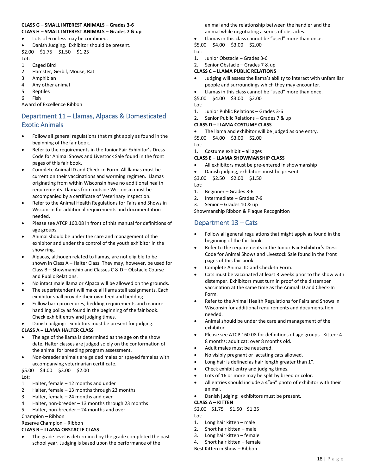#### **CLASS G – SMALL INTEREST ANIMALS – Grades 3-6 CLASS H – SMALL INTEREST ANIMALS – Grades 7 & up**

• Lots of 6 or less may be combined.

- Danish Judging. Exhibitor should be present. \$2.00 \$1.75 \$1.50 \$1.25
- Lot: 1. Caged Bird
- 2. Hamster, Gerbil, Mouse, Rat
- 3. Amphibian
- 4. Any other animal
- 5. Reptiles
- 6. Fish

Award of Excellence Ribbon

# <span id="page-18-0"></span>Department 11 – Llamas, Alpacas & Domesticated Exotic Animals

- Follow all general regulations that might apply as found in the beginning of the fair book.
- Refer to the requirements in the Junior Fair Exhibitor's Dress Code for Animal Shows and Livestock Sale found in the front pages of this fair book.
- Complete Animal ID and Check-in Form. All llamas must be current on their vaccinations and worming regimen. Llamas originating from within Wisconsin have no additional health requirements. Llamas from outside Wisconsin must be accompanied by a certificate of Veterinary Inspection.
- Refer to the Animal Health Regulations for Fairs and Shows in Wisconsin for additional requirements and documentation needed.
- Please see ATCP 160.08 in front of this manual for definitions of age groups.
- Animal should be under the care and management of the exhibitor and under the control of the youth exhibitor in the show ring.
- Alpacas, although related to llamas, are not eligible to be shown in Class A – Halter Class. They may, however, be used for Class B – Showmanship and Classes C & D – Obstacle Course and Public Relations.
- No intact male llama or Alpaca will be allowed on the grounds.
- The superintendent will make all llama stall assignments. Each exhibitor shall provide their own feed and bedding.
- Follow barn procedures, bedding requirements and manure handling policy as found in the beginning of the fair book. Check exhibit entry and judging times.
- Danish judging: exhibitors must be present for judging.

#### **CLASS A – LLAMA HALTER CLASS**

- The age of the llama is determined as the age on the show date. Halter classes are judged solely on the conformation of the animal for breeding program assessment.
- Non-breeder animals are gelded males or spayed females with accompanying veterinarian certificate.

\$5.00 \$4.00 \$3.00 \$2.00 Lot:

- 1. Halter, female 12 months and under
- 2. Halter, female 13 months through 23 months
- 3. Halter, female 24 months and over
- 4. Halter, non-breeder 13 months through 23 months
- 5. Halter, non-breeder 24 months and over

Champion – Ribbon

## Reserve Champion – Ribbon

## **CLASS B – LLAMA OBSTACLE CLASS**

The grade level is determined by the grade completed the past school year. Judging is based upon the performance of the

animal and the relationship between the handler and the animal while negotiating a series of obstacles.

• Llamas in this class cannot be "used" more than once. \$5.00 \$4.00 \$3.00 \$2.00

Lot:

- 1. Junior Obstacle Grades 3-6
- 2. Senior Obstacle Grades 7 & up

### **CLASS C – LLAMA PUBLIC RELATIONS**

- Judging will assess the llama's ability to interact with unfamiliar people and surroundings which they may encounter.
- Llamas in this class cannot be "used" more than once.

\$5.00 \$4.00 \$3.00 \$2.00

Lot:

- 1. Junior Public Relations Grades 3-6
- 2. Senior Public Relations Grades 7 & up

## **CLASS D – LLAMA COSTUME CLASS**

The llama and exhibitor will be judged as one entry.

\$5.00 \$4.00 \$3.00 \$2.00

- Lot:
- 1. Costume exhibit all ages

## **CLASS E – LLAMA SHOWMANSHIP CLASS**

- All exhibitors must be pre-entered in showmanship
- Danish judging, exhibitors must be present

\$3.00 \$2.50 \$2.00 \$1.50 Lot:

- 1. Beginner Grades 3-6
- 2. Intermediate Grades 7-9
- 3. Senior Grades 10 & up

Showmanship Ribbon & Plaque Recognition

# <span id="page-18-1"></span>Department 13 – Cats

- Follow all general regulations that might apply as found in the beginning of the fair book.
- Refer to the requirements in the Junior Fair Exhibitor's Dress Code for Animal Shows and Livestock Sale found in the front pages of this fair book.
- Complete Animal ID and Check-In Form.
- Cats must be vaccinated at least 3 weeks prior to the show with distemper. Exhibitors must turn in proof of the distemper vaccination at the same time as the Animal ID and Check-In Form.
- Refer to the Animal Health Regulations for Fairs and Shows in Wisconsin for additional requirements and documentation needed.
- Animal should be under the care and management of the exhibitor.
- Please see ATCP 160.08 for definitions of age groups. Kitten: 4- 8 months; adult cat: over 8 months old.
- Adult males must be neutered.
- No visibly pregnant or lactating cats allowed.
- Long hair is defined as hair length greater than 1".
- Check exhibit entry and judging times.
- Lots of 16 or more may be split by breed or color.
- All entries should include a 4"x6" photo of exhibitor with their animal.
- Danish judging: exhibitors must be present.

#### **CLASS A – KITTEN**

\$2.00 \$1.75 \$1.50 \$1.25 Lot:

- 1. Long hair kitten male
- 2. Short hair kitten male
- 3. Long hair kitten female
- 4. Short hair kitten female
- Best Kitten in Show Ribbon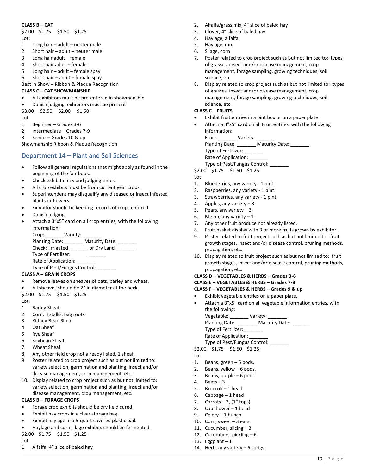#### **CLASS B – CAT**

\$2.00 \$1.75 \$1.50 \$1.25 Lot:

- 1. Long hair adult neuter male
- 2. Short hair adult neuter male
- 3. Long hair adult female
- 4. Short hair adult female
- 5. Long hair adult female spay

6. Short hair – adult – female spay

Best in Show – Ribbon & Plaque Recognition

#### **CLASS C – CAT SHOWMANSHIP**

- All exhibitors must be pre-entered in showmanship
- Danish judging, exhibitors must be present

\$3.00 \$2.50 \$2.00 \$1.50

Lot:

- 1. Beginner Grades 3-6
- 2. Intermediate Grades 7-9
- 3. Senior Grades 10 & up

Showmanship Ribbon & Plaque Recognition

## <span id="page-19-0"></span>Department 14 – Plant and Soil Sciences

- Follow all general regulations that might apply as found in the beginning of the fair book.
- Check exhibit entry and judging times.
- All crop exhibits must be from current year crops.
- Superintendent may disqualify any diseased or insect infested plants or flowers.
- Exhibitor should be keeping records of crops entered.
- Danish judging.
- Attach a 3"x5" card on all crop entries, with the following information:

Crop: \_\_\_\_\_\_\_\_Variety: \_ Planting Date: \_\_\_\_\_\_\_\_ Maturity Date: \_\_\_\_\_\_\_ Check: Irrigated \_\_\_\_\_\_\_ or Dry Land \_\_\_\_\_\_\_ Type of Fertilizer: \_\_\_\_\_\_\_ Rate of Application: Type of Pest/Fungus Control:

#### **CLASS A – GRAIN CROPS**

- Remove leaves on sheaves of oats, barley and wheat.
- All sheaves should be 2" in diameter at the neck.

\$2.00 \$1.75 \$1.50 \$1.25

- Lot:
- 1. Barley Sheaf
- 2. Corn, 3 stalks, bag roots
- 3. Kidney Bean Sheaf
- 4. Oat Sheaf
- 5. Rye Sheaf
- 6. Soybean Sheaf
- 7. Wheat Sheaf
- 8. Any other field crop not already listed, 1 sheaf.
- 9. Poster related to crop project such as but not limited to: variety selection, germination and planting, insect and/or disease management, crop management, etc.
- 10. Display related to crop project such as but not limited to: variety selection, germination and planting, insect and/or disease management, crop management, etc.

#### **CLASS B – FORAGE CROPS**

- Forage crop exhibits should be dry field cured.
- Exhibit hay crops in a clear storage bag.
- Exhibit haylage in a 5-quart covered plastic pail.
- Haylage and corn silage exhibits should be fermented.
- \$2.00 \$1.75 \$1.50 \$1.25
- Lot:
- 1. Alfalfa, 4" slice of baled hay
- 2. Alfalfa/grass mix, 4" slice of baled hay
- 3. Clover, 4" slice of baled hay
- 4. Haylage, alfalfa
- 5. Haylage, mix
- 6. Silage, corn
- 7. Poster related to crop project such as but not limited to: types of grasses, insect and/or disease management, crop management, forage sampling, growing techniques, soil science, etc.
- 8. Display related to crop project such as but not limited to: types of grasses, insect and/or disease management, crop management, forage sampling, growing techniques, soil science, etc.

#### **CLASS C – FRUITS**

- Exhibit fruit entries in a pint box or on a paper plate.
- Attach a 3"x5" card on all Fruit entries, with the following information:

Fruit: Variety: Planting Date: \_\_\_\_\_\_\_ Maturity Date: \_\_\_\_ Type of Fertilizer: \_\_\_\_\_\_\_ Rate of Application: \_\_\_\_\_

Type of Pest/Fungus Control: \_\_\_\_\_\_\_

\$2.00 \$1.75 \$1.50 \$1.25 Lot:

- 
- 1. Blueberries, any variety 1 pint. 2. Raspberries, any variety - 1 pint.
- 3. Strawberries, any variety 1 pint.
- 
- 4. Apples, any variety 3.
- 5. Pears, any variety  $-3$ .
- 6. Melon, any variety  $-1$ .
- 7. Any other fruit produce not already listed.
- 8. Fruit basket display with 3 or more fruits grown by exhibitor.
- 9. Poster related to fruit project such as but not limited to: fruit growth stages, insect and/or disease control, pruning methods, propagation, etc.
- 10. Display related to fruit project such as but not limited to: fruit growth stages, insect and/or disease control, pruning methods, propagation, etc.

#### **CLASS D – VEGETABLES & HERBS – Grades 3-6**

#### **CLASS E – VEGETABLES & HERBS – Grades 7-8**

#### **CLASS F – VEGETABLES & HERBS – Grades 9 & up**

- Exhibit vegetable entries on a paper plate.
- Attach a 3"x5" card on all vegetable information entries, with the following:

Vegetable: \_\_\_\_\_\_\_\_ Variety: \_\_\_\_\_\_\_\_ Planting Date: \_\_\_\_\_\_\_\_ Maturity Date: \_\_\_\_\_\_\_\_

- Type of Fertilizer: \_\_\_\_\_\_\_
- Rate of Application: \_\_\_\_\_\_\_\_
- Type of Pest/Fungus Control:
- \$2.00 \$1.75 \$1.50 \$1.25
- Lot:
- 1. Beans, green 6 pods.
- 2. Beans, yellow 6 pods.
- 3. Beans, purple 6 pods
- 4. Beets  $-3$
- 5. Broccoli 1 head
- 6. Cabbage 1 head
- 7. Carrots  $-3$ ,  $(1"$  tops)<br>8. Cauliflower  $-1$  head
- Cauliflower  $-1$  head
- 9. Celery 1 bunch
- 10. Corn, sweet 3 ears
- 11. Cucumber, slicing 3
- 12. Cucumbers, pickling 6
- 13. Eggplant  $-1$
- 14. Herb, any variety 6 sprigs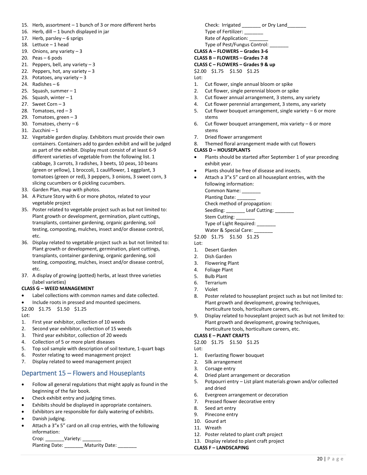- 15. Herb, assortment 1 bunch of 3 or more different herbs
- 16. Herb, dill 1 bunch displayed in jar
- 17. Herb, parsley 6 sprigs
- 18. Lettuce 1 head
- 19. Onions, any variety  $-3$
- 20. Peas 6 pods
- 21. Peppers, bell, any variety  $-3$
- 22. Peppers, hot, any variety  $-3$
- 23. Potatoes, any variety  $-3$
- 24. Radishes 6
- 25. Squash, summer 1
- 26. Squash, winter  $-1$
- 27. Sweet Corn 3
- 28. Tomatoes,  $red 3$
- 29. Tomatoes, green 3
- 30. Tomatoes, cherry  $-6$
- 31. Zucchini 1
- 32. Vegetable garden display. Exhibitors must provide their own containers. Containers add to garden exhibit and will be judged as part of the exhibit. Display must consist of at least 6-9 different varieties of vegetable from the following list. 1 cabbage, 3 carrots, 3 radishes, 3 beets, 10 peas, 10 beans (green or yellow), 1 broccoli, 1 cauliflower, 1 eggplant, 3 tomatoes (green or red), 3 peppers, 3 onions, 3 sweet corn, 3 slicing cucumbers or 6 pickling cucumbers.
- 33. Garden Plan, map with photos.
- 34. A Picture Story with 6 or more photos, related to your vegetable project
- 35. Poster related to vegetable project such as but not limited to: Plant growth or development, germination, plant cuttings, transplants, container gardening, organic gardening, soil testing, composting, mulches, insect and/or disease control, etc.
- 36. Display related to vegetable project such as but not limited to: Plant growth or development, germination, plant cuttings, transplants, container gardening, organic gardening, soil testing, composting, mulches, insect and/or disease control, etc.
- 37. A display of growing (potted) herbs, at least three varieties (label varieties)

#### **CLASS G – WEED MANAGEMENT**

- Label collections with common names and date collected.
- Include roots in pressed and mounted specimens.

\$2.00 \$1.75 \$1.50 \$1.25  $Int$ 

- 1. First year exhibitor, collection of 10 weeds
- 2. Second year exhibitor, collection of 15 weeds
- 3. Third year exhibitor, collection of 20 weeds
- 4. Collection of 5 or more plant diseases
- 5. Top soil sample with description of soil texture, 1-quart bags
- 6. Poster relating to weed management project
- 7. Display related to weed management project

## <span id="page-20-0"></span>Department 15 – Flowers and Houseplants

- Follow all general regulations that might apply as found in the beginning of the fair book.
- Check exhibit entry and judging times.
- Exhibits should be displayed in appropriate containers.
- Exhibitors are responsible for daily watering of exhibits.
- Danish judging.
- Attach a 3"x 5" card on all crop entries, with the following information:

Crop: Variety:

Planting Date: \_\_\_\_\_\_\_\_ Maturity Date: \_\_\_\_\_\_\_

Check: Irrigated \_\_\_\_\_\_\_\_ or Dry Land\_ Type of Fertilizer: \_\_\_\_\_\_\_ Rate of Application: Type of Pest/Fungus Control: \_\_\_\_\_\_\_ **CLASS A – FLOWERS – Grades 3-6 CLASS B – FLOWERS – Grades 7-8 CLASS C – FLOWERS – Grades 9 & up**

#### \$2.00 \$1.75 \$1.50 \$1.25

#### Lot:

- 1. Cut flower, single annual bloom or spike
- 2. Cut flower, single perennial bloom or spike
- 3. Cut flower annual arrangement, 3 stems, any variety
- 4. Cut flower perennial arrangement, 3 stems, any variety
- 5. Cut flower bouquet arrangement, single variety 6 or more stems
- 6. Cut flower bouquet arrangement, mix variety  $-6$  or more stems
- 7. Dried flower arrangement
- 8. Themed floral arrangement made with cut flowers

#### **CLASS D – HOUSEPLANTS**

- Plants should be started after September 1 of year preceding exhibit year.
- Plants should be free of disease and insects.
- Attach a 3"x 5" card on all houseplant entries, with the following information: Common Name: \_\_\_\_\_

Planting Date:

Check method of propagation:

Seedling: \_\_\_\_\_\_\_\_\_ Leaf Cutting: \_\_\_\_

Stem Cutting:

Type of Light Required: \_\_\_\_\_\_\_

- Water & Special Care: \_ \$2.00 \$1.75 \$1.50 \$1.25
- Lot:
- 1. Desert Garden
- 2. Dish Garden
- 3. Flowering Plant
- 4. Foliage Plant
- 5. Bulb Plant
- 6. Terrarium
- 7. Violet
- 8. Poster related to houseplant project such as but not limited to: Plant growth and development, growing techniques, horticulture tools, horticulture careers, etc.
- 9. Display related to houseplant project such as but not limited to: Plant growth and development, growing techniques, horticulture tools, horticulture careers, etc.

#### **CLASS E – PLANT CRAFTS**

\$2.00 \$1.75 \$1.50 \$1.25

#### Lot:

- 1. Everlasting flower bouquet
- 2. Silk arrangement
- 3. Corsage entry
- 4. Dried plant arrangement or decoration
- 5. Potpourri entry List plant materials grown and/or collected and dried
- 6. Evergreen arrangement or decoration
- 7. Pressed flower decorative entry
- 8. Seed art entry
- 9. Pinecone entry
- 10. Gourd art
- 11. Wreath
- 12. Poster related to plant craft project
- 13. Display related to plant craft project

#### **CLASS F – LANDSCAPING**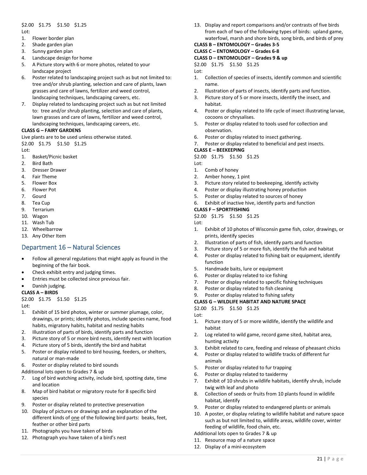#### \$2.00 \$1.75 \$1.50 \$1.25 Lot:

- 1. Flower border plan
- 2. Shade garden plan
- 3. Sunny garden plan
- 4. Landscape design for home
- 5. A Picture story with 6 or more photos, related to your landscape project
- 6. Poster related to landscaping project such as but not limited to: tree and/or shrub planting, selection and care of plants, lawn grasses and care of lawns, fertilizer and weed control, landscaping techniques, landscaping careers, etc.
- 7. Display related to landscaping project such as but not limited to: tree and/or shrub planting, selection and care of plants, lawn grasses and care of lawns, fertilizer and weed control, landscaping techniques, landscaping careers, etc.

## **CLASS G – FAIRY GARDENS**

Live plants are to be used unless otherwise stated. \$2.00 \$1.75 \$1.50 \$1.25

Lot:

- 1. Basket/Picnic basket
- 2. Bird Bath
- 3. Dresser Drawer
- 4. Fair Theme
- 5. Flower Box
- 6. Flower Pot
- 7. Gourd
- 8. Tea Cup
- 9. Terrarium
- 10. Wagon
- 11. Wash Tub
- 12. Wheelbarrow
- 13. Any Other Item

## <span id="page-21-0"></span>Department 16 – Natural Sciences

- Follow all general regulations that might apply as found in the beginning of the fair book.
- Check exhibit entry and judging times.
- Entries must be collected since previous fair.

#### • Danish judging.

#### **CLASS A – BIRDS**

\$2.00 \$1.75 \$1.50 \$1.25

Lot:

- 1. Exhibit of 15 bird photos, winter or summer plumage, color, drawings, or prints; identify photos, include species name, food habits, migratory habits, habitat and nesting habits
- 2. Illustration of parts of birds, identify parts and function
- 3. Picture story of 5 or more bird nests, identify nest with location
- 4. Picture story of 5 birds, identify the bird and habitat
- 5. Poster or display related to bird housing, feeders, or shelters, natural or man-made
- 6. Poster or display related to bird sounds
- Additional lots open to Grades 7 & up
- 7. Log of bird watching activity, include bird, spotting date, time and location
- 8. Map of bird habitat or migratory route for 8 specific bird species
- 9. Poster or display related to protective preservation
- 10. Display of pictures or drawings and an explanation of the different kinds of one of the following bird parts: beaks, feet, feather or other bird parts
- 11. Photographs you have taken of birds
- 12. Photograph you have taken of a bird's nest

13. Display and report comparisons and/or contrasts of five birds from each of two of the following types of birds: upland game, waterfowl, marsh and shore birds, song birds, and birds of prey

#### **CLASS B – ENTOMOLOGY – Grades 3-5 CLASS C – ENTOMOLOGY – Grades 6-8**

**CLASS D – ENTOMOLOGY – Grades 9 & up** \$2.00 \$1.75 \$1.50 \$1.25

Lot:

- 1. Collection of species of insects, identify common and scientific name.
- 2. Illustration of parts of insects, identify parts and function.
- 3. Picture story of 5 or more insects, identify the insect, and habitat.
- 4. Poster or display related to life cycle of insect illustrating larvae, cocoons or chrysalises.
- 5. Poster or display related to tools used for collection and observation.
- 6. Poster or display related to insect gathering.
- 7. Poster or display related to beneficial and pest insects.

#### **CLASS E – BEEKEEPING**

\$2.00 \$1.75 \$1.50 \$1.25

- Lot:
- 1. Comb of honey
- 2. Amber honey, 1 pint
- 3. Picture story related to beekeeping, identify activity
- 4. Poster or display illustrating honey production
- 5. Poster or display related to sources of honey
- 6. Exhibit of inactive hive, identify parts and function

#### **CLASS F – SPORTFISHING**

\$2.00 \$1.75 \$1.50 \$1.25

- Lot:
- 1. Exhibit of 10 photos of Wisconsin game fish, color, drawings, or prints, identify species
- 2. Illustration of parts of fish, identify parts and function
- 3. Picture story of 5 or more fish, identify the fish and habitat
- 4. Poster or display related to fishing bait or equipment, identify function
- 5. Handmade baits, lure or equipment
- 6. Poster or display related to ice fishing
- 7. Poster or display related to specific fishing techniques
- 8. Poster or display related to fish cleaning
- 9. Poster or display related to fishing safety

#### **CLASS G – WILDLIFE HABITAT AND NATURE SPACE**

\$2.00 \$1.75 \$1.50 \$1.25

#### Lot:

- 1. Picture story of 5 or more wildlife, identify the wildlife and habitat
- 2. Log related to wild game, record game sited, habitat area, hunting activity
- 3. Exhibit related to care, feeding and release of pheasant chicks
- 4. Poster or display related to wildlife tracks of different fur animals
- 5. Poster or display related to fur trapping
- 6. Poster or display related to taxidermy
- 7. Exhibit of 10 shrubs in wildlife habitats, identify shrub, include twig with leaf and photo
- 8. Collection of seeds or fruits from 10 plants found in wildlife habitat, identify
- 9. Poster or display related to endangered plants or animals
- 10. A poster, or display relating to wildlife habitat and nature space such as but not limited to, wildlife areas, wildlife cover, winter feeding of wildlife, food chain, etc.
- Additional lots open to Grades 7 & up
- 11. Resource map of a nature space
- 12. Display of a mini-ecosystem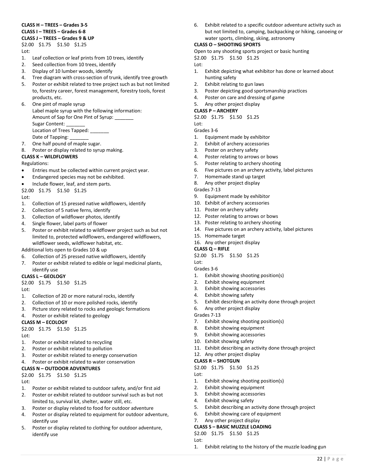#### **CLASS H – TREES – Grades 3-5 CLASS I – TREES – Grades 6-8 CLASS J – TREES – Grades 9 & UP**

## \$2.00 \$1.75 \$1.50 \$1.25

Lot:

- 1. Leaf collection or leaf prints from 10 trees, identify
- 2. Seed collection from 10 trees, identify
- 3. Display of 10 lumber woods, identify
- 4. Tree diagram with cross-section of trunk, identify tree growth
- 5. Poster or exhibit related to tree project such as but not limited to, forestry career, forest management, forestry tools, forest products, etc.
- 6. One pint of maple syrup Label maple syrup with the following information: Amount of Sap for One Pint of Syrup: \_\_\_\_\_\_ Sugar Content: Location of Trees Tapped: Date of Tapping:
- 7. One half pound of maple sugar.
- 8. Poster or display related to syrup making.

#### **CLASS K – WILDFLOWERS**

Regulations:

- Entries must be collected within current project year.
- Endangered species may not be exhibited.
- Include flower, leaf, and stem parts.

\$2.00 \$1.75 \$1.50 \$1.25

 $Int$ 

- 1. Collection of 15 pressed native wildflowers, identify
- 2. Collection of 5 native ferns, identify
- 3. Collection of wildflower photos, identify
- 4. Single flower, label parts of flower
- 5. Poster or exhibit related to wildflower project such as but not limited to, protected wildflowers, endangered wildflowers, wildflower seeds, wildflower habitat, etc.

Additional lots open to Grades 10 & up

- 6. Collection of 25 pressed native wildflowers, identify
- 7. Poster or exhibit related to edible or legal medicinal plants, identify use
- **CLASS L – GEOLOGY**
- \$2.00 \$1.75 \$1.50 \$1.25

Lot:

- 1. Collection of 20 or more natural rocks, identify
- 2. Collection of 10 or more polished rocks, identify
- 3. Picture story related to rocks and geologic formations
- 4. Poster or exhibit related to geology

#### **CLASS M – ECOLOGY**

\$2.00 \$1.75 \$1.50 \$1.25 Lot:

- 1. Poster or exhibit related to recycling
- 2. Poster or exhibit related to pollution
- 3. Poster or exhibit related to energy conservation
- 4. Poster or exhibit related to water conservation

#### **CLASS N – OUTDOOR ADVENTURES**

\$2.00 \$1.75 \$1.50 \$1.25 Lot:

- 1. Poster or exhibit related to outdoor safety, and/or first aid
- 2. Poster or exhibit related to outdoor survival such as but not limited to, survival kit, shelter, water still, etc.
- 3. Poster or display related to food for outdoor adventure
- 4. Poster or display related to equipment for outdoor adventure, identify use
- 5. Poster or display related to clothing for outdoor adventure, identify use

6. Exhibit related to a specific outdoor adventure activity such as but not limited to, camping, backpacking or hiking, canoeing or water sports, climbing, skiing, astronomy

#### **CLASS O – SHOOTING SPORTS**

Open to any shooting sports project or basic hunting

\$2.00 \$1.75 \$1.50 \$1.25

Lot:

- 1. Exhibit depicting what exhibitor has done or learned about hunting safety
- 2. Exhibit relating to gun laws
- 3. Poster depicting good sportsmanship practices
- 4. Poster on care and dressing of game
- 5. Any other project display

#### **CLASS P – ARCHERY**

\$2.00 \$1.75 \$1.50 \$1.25

Lot:

- Grades 3-6
- 1. Equipment made by exhibitor 2. Exhibit of archery accessories
- 3. Poster on archery safety
- 4. Poster relating to arrows or bows
- 5. Poster relating to archery shooting
- 6. Five pictures on an archery activity, label pictures
- 7. Homemade stand up target
- 8. Any other project display

Grades 7-13

- 9. Equipment made by exhibitor
- 10. Exhibit of archery accessories
- 11. Poster on archery safety
- 12. Poster relating to arrows or bows
- 13. Poster relating to archery shooting
- 14. Five pictures on an archery activity, label pictures
- 15. Homemade target
- 16. Any other project display

#### **CLASS Q – RIFLE**

\$2.00 \$1.75 \$1.50 \$1.25

Lot:

## Grades 3-6

- 1. Exhibit showing shooting position(s)
- 2. Exhibit showing equipment
- 3. Exhibit showing accessories
- 4. Exhibit showing safety
- 5. Exhibit describing an activity done through project
- 6. Any other project display

## Grades 7-13

- 7. Exhibit showing shooting position(s)
- 8. Exhibit showing equipment
- 9. Exhibit showing accessories
- 10. Exhibit showing safety
- 11. Exhibit describing an activity done through project

5. Exhibit describing an activity done through project

1. Exhibit relating to the history of the muzzle loading gun

22 | P a g e

#### 12. Any other project display

#### **CLASS R – SHOTGUN**

\$2.00 \$1.75 \$1.50 \$1.25

Lot:

Lot:

1. Exhibit showing shooting position(s)

6. Exhibit showing care of equipment

- 2. Exhibit showing equipment
- 3. Exhibit showing accessories

7. Any other project display **CLASS S – BASIC MUZZLE LOADING**  \$2.00 \$1.75 \$1.50 \$1.25

4. Exhibit showing safety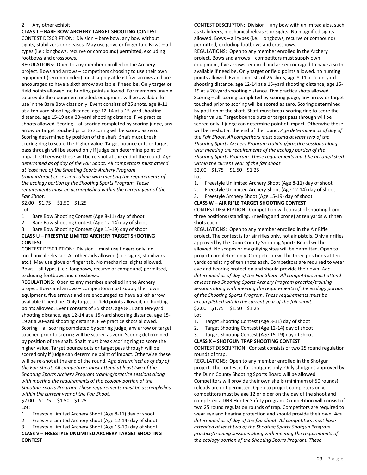#### 2. Any other exhibit

**CLASS T – BARE BOW ARCHERY TARGET SHOOTING CONTEST** 

CONTEST DESCRIPTION: Division – bare bow, any bow without sights, stabilizers or releases. May use glove or finger tab. Bows – all types (i.e.: longbows, recurve or compound) permitted, excluding footbows and crossbows.

REGULATIONS: Open to any member enrolled in the Archery project. Bows and arrows – competitors choosing to use their own equipment (recommended) must supply at least five arrows and are encouraged to have a sixth arrow available if need be. Only target or field points allowed, no hunting points allowed. For members unable to provide the equipment needed, equipment will be available for use in the Bare Bow class only. Event consists of 25 shots, age 8-11 at a ten-yard shooting distance, age 12-14 at a 15-yard shooting distance, age 15-19 at a 20-yard shooting distance. Five practice shoots allowed. Scoring – all scoring completed by scoring judge, any arrow or target touched prior to scoring will be scored as zero. Scoring determined by position of the shaft. Shaft must break scoring ring to score the higher value. Target bounce outs or target pass through will be scored only if judge can determine point of impact. Otherwise these will be re-shot at the end of the round. *Age determined as of day of the Fair Shoot. All competitors must attend at least two of the Shooting Sports Archery Program training/practice sessions along with meeting the requirements of the ecology portion of the Shooting Sports Program. These requirements must be accomplished within the current year of the Fair Shoot.* \$2.00 \$1.75 \$1.50 \$1.25

Lot:

1. Bare Bow Shooting Contest (Age 8-11) day of shoot

2. Bare Bow Shooting Contest (Age 12-14) day of shoot

3. Bare Bow Shooting Contest (Age 15-19) day of shoot

#### **CLASS U – FREESTYLE LIMITED ARCHERY TARGET SHOOTING CONTEST**

CONTEST DESCRIPTION: Division – must use fingers only, no mechanical releases. All other aids allowed (i.e.: sights, stabilizers, etc.). May use glove or finger tab. No mechanical sights allowed. Bows – all types (i.e.: longbows, recurve or compound) permitted, excluding footbows and crossbows.

REGULATIONS: Open to any member enrolled in the Archery project. Bows and arrows – competitors must supply their own equipment, five arrows and are encouraged to have a sixth arrow available if need be. Only target or field points allowed, no hunting points allowed. Event consists of 25 shots, age 8-11 at a ten-yard shooting distance, age 12-14 at a 15-yard shooting distance, age 15- 19 at a 20-yard shooting distance. Five practice shots allowed. Scoring – all scoring completed by scoring judge, any arrow or target touched prior to scoring will be scored as zero. Scoring determined by position of the shaft. Shaft must break scoring ring to score the higher value. Target bounce outs or target pass through will be scored only if judge can determine point of impact. Otherwise these will be re-shot at the end of the round. *Age determined as of day of the Fair Shoot. All competitors must attend at least two of the Shooting Sports Archery Program training/practice sessions along with meeting the requirements of the ecology portion of the Shooting Sports Program. These requirements must be accomplished within the current year of the Fair Shoot.*

\$2.00 \$1.75 \$1.50 \$1.25 Lot:

- 1. Freestyle Limited Archery Shoot (Age 8-11) day of shoot
- 2. Freestyle Limited Archery Shoot (Age 12-14) day of shoot

#### 3. Freestyle Limited Archery Shoot (Age 15-19) day of shoot **CLASS V – FREESTYLE UNLIMITED ARCHERY TARGET SHOOTING CONTEST**

CONTEST DESCRIPTON: Division – any bow with unlimited aids, such as stabilizers, mechanical releases or sights. No magnified sights allowed. Bows – all types (i.e.: longbows, recurve or compound) permitted, excluding footbows and crossbows.

REGULATIONS: Open to any member enrolled in the Archery project. Bows and arrows – competitors must supply own equipment; five arrows required and are encouraged to have a sixth available if need be. Only target or field points allowed, no hunting points allowed. Event consists of 25 shots, age 8-11 at a ten-yard shooting distance, age 12-14 at a 15-yard shooting distance, age 15- 19 at a 20-yard shooting distance. Five practice shots allowed. Scoring – all scoring completed by scoring judge, any arrow or target touched prior to scoring will be scored as zero. Scoring determined by position of the shaft. Shaft must break scoring ring to score the higher value. Target bounce outs or target pass through will be scored only if judge can determine point of impact. Otherwise these will be re-shot at the end of the round. *Age determined as of day of the Fair Shoot. All competitors must attend at least two of the Shooting Sports Archery Program training/practice sessions along with meeting the requirements of the ecology portion of the Shooting Sports Program. These requirements must be accomplished within the current year of the fair shoot.*

\$2.00 \$1.75 \$1.50 \$1.25 Lot:

- 1. Freestyle Unlimited Archery Shoot (Age 8-11) day of shoot
- 2. Freestyle Unlimited Archery Shoot (Age 12-14) day of shoot
- 3. Freestyle Archery Shoot (Age 15-19) day of shoot

## **CLASS W – AIR RIFLE TARGET SHOOTING CONTEST**

CONTEST DESCRIPTION: Competition will consist of shooting from three positions (standing, kneeling and prone) at ten yards with ten shots each.

REGULATIONS: Open to any member enrolled in the Air Rifle project. The contest is for air rifles only, not air pistols. Only air rifles approved by the Dunn County Shooting Sports Board will be allowed. No scopes or magnifying sites will be permitted. Open to project completers only. Competition will be three positions at ten yards consisting of ten shots each. Competitors are required to wear eye and hearing protection and should provide their own. *Age determined as of day of the Fair Shoot. All competitors must attend at least two Shooting Sports Archery Program practice/training sessions along with meeting the requirements of the ecology portion of the Shooting Sports Program. These requirements must be accomplished within the current year of the fair shoot.* \$2.00 \$1.75 \$1.50 \$1.25

- Lot:
- 1. Target Shooting Contest (Age 8-11) day of shoot
- 2. Target Shooting Contest (Age 12-14) day of shoot
- 3. Target Shooting Contest (Age 15-19) day of shoot

# **CLASS X – SHOTGUN TRAP SHOOTING CONTEST**

CONTEST DESCRIPTION: Contest consists of two 25 round regulation rounds of trap.

REGULATIONS: Open to any member enrolled in the Shotgun project. The contest is for shotguns only. Only shotguns approved by the Dunn County Shooting Sports Board will be allowed. Competitors will provide their own shells (minimum of 50 rounds); reloads are not permitted. Open to project completers only, competitors must be age 12 or older on the day of the shoot and completed a DNR Hunter Safety program. Competition will consist of two 25 round regulation rounds of trap. Competitors are required to wear eye and hearing protection and should provide their own. *Age determined as of day of the fair shoot. All competitors must have attended at least two of the Shooting Sports Shotgun Program practice/training sessions along with meeting the requirements of the ecology portion of the Shooting Sports Program. These*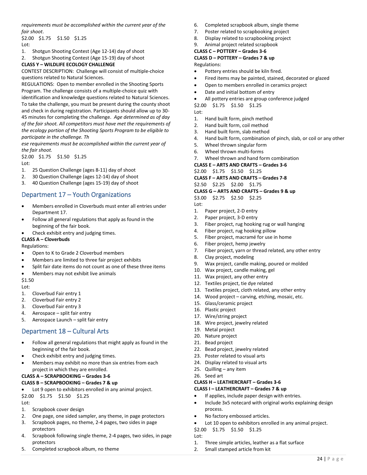*requirements must be accomplished within the current year of the fair shoot*.

\$2.00 \$1.75 \$1.50 \$1.25 Lot:

- 1. Shotgun Shooting Contest (Age 12-14) day of shoot
- 2. Shotgun Shooting Contest (Age 15-19) day of shoot

#### **CLASS Y – WILDLIFE ECOLOGY CHALLENGE**

CONTEST DESCRIPTION: Challenge will consist of multiple-choice questions related to Natural Sciences.

REGULATIONS: Open to member enrolled in the Shooting Sports Program. The challenge consists of a multiple-choice quiz with identification and knowledge questions related to Natural Sciences. To take the challenge, you must be present during the county shoot and check in during registration. Participants should allow up to 30- 45 minutes for completing the challenge. *Age determined as of day of the fair shoot. All competitors must have met the requirements of the ecology portion of the Shooting Sports Program to be eligible to participate in the challenge. Th* 

*ese requirements must be accomplished within the current year of the fair shoot.*

\$2.00 \$1.75 \$1.50 \$1.25 Lot:

- 1. 25 Question Challenge (ages 8-11) day of shoot
- 2. 30 Question Challenge (ages 12-14) day of shoot
- 3. 40 Question Challenge (ages 15-19) day of shoot

## <span id="page-24-0"></span>Department 17 – Youth Organizations

- Members enrolled in Cloverbuds must enter all entries under Department 17.
- Follow all general regulations that apply as found in the beginning of the fair book.
- Check exhibit entry and judging times.

#### **CLASS A – Cloverbuds**

Regulations:

- Open to K to Grade 2 Cloverbud members
- Members are limited to three fair project exhibits
- Split fair date items do not count as one of these three items
- Members may not exhibit live animals

#### \$1.50

Lot:

- 1. Cloverbud Fair entry 1
- 2. Cloverbud Fair entry 2
- 3. Cloverbud Fair entry 3
- 4. Aerospace split fair entry
- 5. Aerospace Launch split fair entry

## <span id="page-24-1"></span>Department 18 – Cultural Arts

- Follow all general regulations that might apply as found in the beginning of the fair book.
- Check exhibit entry and judging times.
- Members may exhibit no more than six entries from each project in which they are enrolled.

# **CLASS A – SCRAPBOOKING – Grades 3-6**

## **CLASS B – SCRAPBOOKING – Grades 7 & up**

• Lot 9 open to exhibitors enrolled in any animal project. \$2.00 \$1.75 \$1.50 \$1.25

```
Int
```
- 1. Scrapbook cover design
- 2. One page, one sided sampler, any theme, in page protectors
- 3. Scrapbook pages, no theme, 2-4 pages, two sides in page protectors
- 4. Scrapbook following single theme, 2-4 pages, two sides, in page protectors
- 5. Completed scrapbook album, no theme
- 6. Completed scrapbook album, single theme
- 7. Poster related to scrapbooking project
- 8. Display related to scrapbooking project
- 9. Animal project related scrapbook

#### **CLASS C – POTTERY – Grades 3-6**

**CLASS D – POTTERY – Grades 7 & up**

Regulations:

- Pottery entries should be kiln fired.
- Fired items may be painted, stained, decorated or glazed
- Open to members enrolled in ceramics project
- Date and initial bottom of entry
- All pottery entries are group conference judged
- \$2.00 \$1.75 \$1.50 \$1.25
- Lot:
- 1. Hand built form, pinch method
- 2. Hand built form, coil method
- 3. Hand built form, slab method
- 4. Hand built form, combination of pinch, slab, or coil or any other
- 5. Wheel thrown singular form
- 6. Wheel thrown multi-forms
- 7. Wheel thrown and hand form combination
- **CLASS E – ARTS AND CRAFTS – Grades 3-6**

\$2.00 \$1.75 \$1.50 \$1.25

**CLASS F – ARTS AND CRAFTS – Grades 7-8**

\$2.50 \$2.25 \$2.00 \$1.75

**CLASS G – ARTS AND CRAFTS – Grades 9 & up**

- \$3.00 \$2.75 \$2.50 \$2.25 Lot:
- 1. Paper project, 2-D entry
- 2. Paper project, 3-D entry
- 3. Fiber project, rug hooking rug or wall hanging
- 4. Fiber project, rug hooking pillow
- 5. Fiber project, macramé for use in home
- 6. Fiber project, hemp jewelry
- 7. Fiber project, yarn or thread related, any other entry
- 8. Clay project, modeling
- 9. Wax project, candle making, poured or molded
- 10. Wax project, candle making, gel
- 11. Wax project, any other entry
- 12. Textiles project, tie dye related
- 13. Textiles project, cloth related, any other entry
- 14. Wood project carving, etching, mosaic, etc.
- 15. Glass/ceramic project
- 16. Plastic project
- 17. Wire/string project
- 18. Wire project, jewelry related
- 19. Metal project
- 20. Nature project
- 21. Bead project
- 22. Bead project, jewelry related
- 23. Poster related to visual arts
- 24. Display related to visual arts
- 25. Quilling any item
- 26. Seed art

Lot:

# **CLASS H – LEATHERCRAFT – Grades 3-6**

- **CLASS I – LEATHERCRAFT – Grades 7 & up** If applies, include paper design with entries.
- Include 3x5 notecard with original works explaining design process.
- No factory embossed articles.

2. Small stamped article from kit

\$2.00 \$1.75 \$1.50 \$1.25

Lot 10 open to exhibitors enrolled in any animal project.

1. Three simple articles, leather as a flat surface

24 | P a g e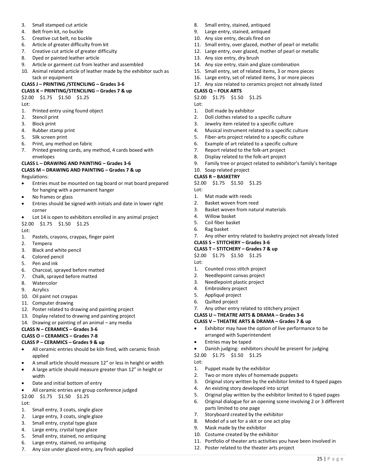- 3. Small stamped cut article
- 4. Belt from kit, no buckle
- 5. Creative cut belt, no buckle
- 6. Article of greater difficulty from kit
- 7. Creative cut article of greater difficulty
- 8. Dyed or painted leather article
- 9. Article or garment cut from leather and assembled
- 10. Animal related article of leather made by the exhibitor such as tack or equipment

# **CLASS J – PRINTING /STENCILING – Grades 3-6**

# **CLASS K – PRINTING/STENCILING – Grades 7 & up**

# \$2.00 \$1.75 \$1.50 \$1.25

- Lot:
- 1. Printed entry using found object
- 2. Stencil print
- 3. Block print
- 4. Rubber stamp print
- 5. Silk screen print
- 6. Print, any method on fabric
- 7. Printed greeting cards, any method, 4 cards boxed with envelopes

#### **CLASS L – DRAWING AND PAINTING – Grades 3-6**

#### **CLASS M – DRAWING AND PAINTING – Grades 7 & up**  Regulations:

- Entries must be mounted on tag board or mat board prepared for hanging with a permanent hanger
- No frames or glass
- Entries should be signed with initials and date in lower right corner

Lot 14 is open to exhibitors enrolled in any animal project \$2.00 \$1.75 \$1.50 \$1.25

Lot:

- 1. Pastels, crayons, craypas, finger paint
- 2. Tempera
- 3. Black and white pencil
- 4. Colored pencil
- 5. Pen and ink
- 6. Charcoal, sprayed before matted
- 7. Chalk, sprayed before matted
- 8. Watercolor
- 9. Acrylics
- 10. Oil paint not craypas
- 11. Computer drawing
- 12. Poster related to drawing and painting project
- 13. Display related to drawing and painting project
- 14. Drawing or painting of an animal any media

## **CLASS N – CERAMICS – Grades 3-6**

# **CLASS O – CERAMICS – Grades 7-8**

## **CLASS P – CERAMICS – Grades 9 & up**

- All ceramic entries should be kiln fired, with ceramic finish applied
- A small article should measure 12" or less in height or width
- A large article should measure greater than 12" in height or width
- Date and initial bottom of entry
- All ceramic entries are group conference judged \$2.00 \$1.75 \$1.50 \$1.25

Lot:

- 1. Small entry, 3 coats, single glaze
- 2. Large entry, 3 coats, single glaze
- 3. Small entry, crystal type glaze
- 4. Large entry, crystal type glaze
- 5. Small entry, stained, no antiquing
- 6. Large entry, stained, no antiquing
- 7. Any size under glazed entry, any finish applied
- 8. Small entry, stained, antiqued
- 9. Large entry, stained, antiqued
- 10. Any size entry, decals fired on
- 11. Small entry, over glazed, mother of pearl or metallic
- 12. Large entry, over glazed, mother of pearl or metallic
- 13. Any size entry, dry brush
- 14. Any size entry, stain and glaze combination
- 15. Small entry, set of related items, 3 or more pieces
- 16. Large entry, set of related items, 3 or more pieces
- 17. Any size related to ceramics project not already listed

#### **CLASS Q – FOLK ARTS**

\$2.00 \$1.75 \$1.50 \$1.25

- Lot:
- 1. Doll made by exhibitor
- 2. Doll clothes related to a specific culture
- 3. Jewelry item related to a specific culture
- 4. Musical instrument related to a specific culture
- 5. Fiber-arts project related to a specific culture
- 6. Example of art related to a specific culture
- 7. Report related to the folk-art project
- 8. Display related to the folk-art project
	- 9. Family tree or project related to exhibitor's family's heritage

## 10. Soap related project

- **CLASS R – BASKETRY**
- \$2.00 \$1.75 \$1.50 \$1.25

Lot:

- 1. Mat made with reeds
- 2. Basket woven from reed
- 3. Basket woven from natural materials
- 4. Willow basket
- 5. Coil fiber basket
- 6. Rag basket
- 7. Any other entry related to basketry project not already listed

25 | P a g e

**CLASS S – STITCHERY – Grades 3-6**

## **CLASS T – STITCHERY – Grades 7 & up**

- \$2.00 \$1.75 \$1.50 \$1.25
- Lot:

Lot:

- 1. Counted cross stitch project
- 2. Needlepoint canvas project
- 3. Needlepoint plastic project
- 4. Embroidery project
- 5. Appliqué project
- 6. Quilted project
- 7. Any other entry related to stitchery project **CLASS U – THEATRE ARTS & DRAMA – Grades 3-6**

2. Two or more styles of homemade puppets

4. An existing story developed into script

12. Poster related to the theater arts project

arranged with Superintendent • Entries may be taped

\$2.00 \$1.75 \$1.50 \$1.25

1. Puppet made by the exhibitor

parts limited to one page 7. Storyboard created by the exhibitor 8. Model of a set for a skit or one act play

9. Mask made by the exhibitor 10. Costume created by the exhibitor

**CLASS V – THEATRE ARTS & DRAMA – Grades 7 & up** • Exhibitor may have the option of live performance to be

• Danish judging: exhibitors should be present for judging

3. Original story written by the exhibitor limited to 4 typed pages

5. Original play written by the exhibitor limited to 6 typed pages 6. Original dialogue for an opening scene involving 2 or 3 different

11. Portfolio of theater arts activities you have been involved in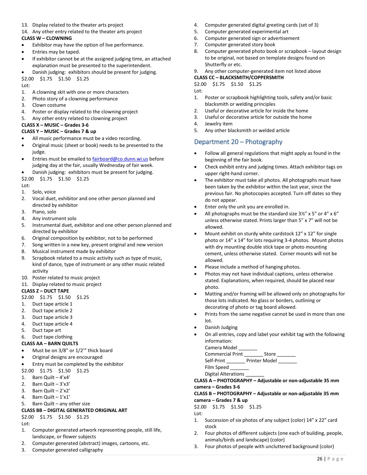- 13. Display related to the theater arts project
- 14. Any other entry related to the theater arts project

#### **CLASS W – CLOWNING**

- Exhibitor may have the option of live performance.
- Entries may be taped.
- If exhibitor cannot be at the assigned judging time, an attached explanation must be presented to the superintendent.
- Danish judging: exhibitors should be present for judging.
- \$2.00 \$1.75 \$1.50 \$1.25

Lot:

- 1. A clowning skit with one or more characters
- 2. Photo story of a clowning performance
- 3. Clown costume
- 4. Poster or display related to the clowning project
- 5. Any other entry related to clowning project

#### **CLASS X – MUSIC – Grades 3-6**

#### **CLASS Y – MUSIC – Grades 7 & up**

- All music performance must be a video recording.
- Original music (sheet or book) needs to be presented to the judge.
- Entries must be emailed to **fairboard@co.dunn.wi.us** before judging day at the fair, usually Wednesday of fair week.
- Danish judging: exhibitors must be present for judging.
- \$2.00 \$1.75 \$1.50 \$1.25 Lot:
- 1. Solo, voice
- 2. Vocal duet, exhibitor and one other person planned and directed by exhibitor
- 3. Piano, solo
- 4. Any instrument solo
- 5. Instrumental duet, exhibitor and one other person planned and directed by exhibitor
- 6. Original composition by exhibitor, not to be performed
- 7. Song written in a new key, present original and new version
- 8. Musical instrument made by exhibitor
- 9. Scrapbook related to a music activity such as type of music, kind of dance, type of instrument or any other music related activity
- 10. Poster related to music project
- 11. Display related to music project

#### **CLASS Z – DUCT TAPE**

- \$2.00 \$1.75 \$1.50 \$1.25
- 1. Duct tape article 1
- 2. Duct tape article 2
- 3. Duct tape article 3
- 4. Duct tape article 4
- 5. Duct tape art
- 6. Duct tape clothing

#### **CLASS AA – BARN QUILTS**

- Must be on 3/8" or 1/2'" thick board
- Original designs are encouraged
- Entry must be completed by the exhibitor
- \$2.00 \$1.75 \$1.50 \$1.25
- 1. Barn Quilt 4'x4'
- 2. Barn Quilt 3'x3'
- 3. Barn Quilt 2'x2'
- 4. Barn Quilt 1'x1'
- 5. Barn Quilt any other size

#### **CLASS BB – DIGITAL GENERATED ORIGINAL ART**

\$2.00 \$1.75 \$1.50 \$1.25

Lot:

- 1. Computer generated artwork representing people, still life, landscape, or flower subjects
- 2. Computer generated (abstract) images, cartoons, etc.
- 3. Computer generated calligraphy
- 4. Computer generated digital greeting cards (set of 3)
- 5. Computer generated experimental art
- 6. Computer generated sign or advertisement
- 7. Computer generated story book
- 8. Computer generated photo book or scrapbook layout design to be original, not based on template designs found on Shutterfly or etc.
- 9. Any other computer-generated item not listed above

#### **CLASS CC – BLACKSMITH/COPPERSMITH**

\$2.00 \$1.75 \$1.50 \$1.25

- Lot: 1. Poster or scrapbook highlighting tools, safety and/or basic blacksmith or welding principles
- 2. Useful or decorative article for inside the home
- 3. Useful or decorative article for outside the home
- 4. Jewelry item
- 5. Any other blacksmith or welded article

## <span id="page-26-0"></span>Department 20 – Photography

- Follow all general regulations that might apply as found in the beginning of the fair book.
- Check exhibit entry and judging times. Attach exhibitor tags on upper right-hand corner.
- The exhibitor must take all photos. All photographs must have been taken by the exhibitor within the last year, since the previous fair. No photocopies accepted. Turn off dates so they do not appear.
- Enter only the unit you are enrolled in.
- All photographs must be the standard size 3½" x 5" or 4" x 6" unless otherwise stated. Prints larger than 5" x 7" will not be allowed.
- Mount exhibit on sturdy white cardstock 12" x 12" for single photo or 14" x 14" for lots requiring 3-4 photos. Mount photos with dry mounting double stick tape or photo mounting cement, unless otherwise stated. Corner mounts will not be allowed.
- Please include a method of hanging photos.
- Photos may not have individual captions, unless otherwise stated. Explanations, when required, should be placed near photo.
- Matting and/or framing will be allowed only on photographs for those lots indicated. No glass or borders, outlining or decorating of photo or tag board allowed.
- Prints from the same negative cannot be used in more than one lot.
- Danish Judging
- On all entries, copy and label your exhibit tag with the following information:

Camera Model

Commercial Print \_\_\_\_\_\_\_\_\_ Store

Self-Print Printer Model

Digital Alterations

#### **CLASS A – PHOTOGRAPHY – Adjustable or non-adjustable 35 mm camera – Grades 3-6**

#### **CLASS B – PHOTOGRAPHY – Adjustable or non-adjustable 35 mm camera – Grades 7 & up**

\$2.00 \$1.75 \$1.50 \$1.25

Lot:

- 1. Succession of six photos of any subject (color) 14" x 22" card stock
- 2. Four photos of different subjects (one each of building, people, animals/birds and landscape) (color)
- 3. Four photos of people with uncluttered background (color)

Film Speed \_\_\_\_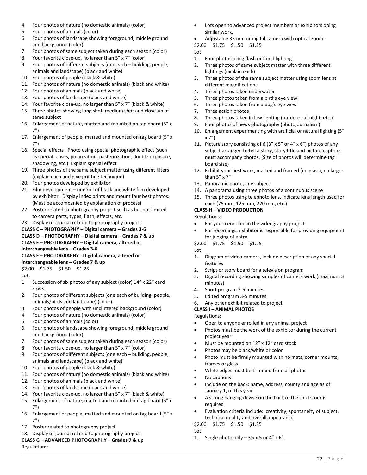- 4. Four photos of nature (no domestic animals) (color)
- 5. Four photos of animals (color)
- 6. Four photos of landscape showing foreground, middle ground and background (color)
- 7. Four photos of same subject taken during each season (color)
- 8. Your favorite close-up, no larger than 5" x 7" (color)
- 9. Four photos of different subjects (one each building, people, animals and landscape) (black and white)
- 10. Four photos of people (black & white)
- 11. Four photos of nature (no domestic animals) (black and white)
- 12. Four photos of animals (black and white)
- 13. Four photos of landscape (black and white)
- 14. Your favorite close-up, no larger than 5" x 7" (black & white)
- 15. Three photos showing long shot, medium shot and close-up of same subject
- 16. Enlargement of nature, matted and mounted on tag board (5" x 7")
- 17. Enlargement of people, matted and mounted on tag board (5" x 7")
- 18. Special effects –Photo using special photographic effect (such as special lenses, polarization, pasteurization, double exposure, shadowing, etc.). Explain special effect
- 19. Three photos of the same subject matter using different filters (explain each and give printing technique)
- 20. Four photos developed by exhibitor
- 21. Film development one roll of black and white film developed by exhibitor. Display index prints and mount four best photos. (Must be accompanied by explanation of process)
- 22. Poster related to photography project such as but not limited to camera parts, types, flash, effects, etc.
- 23. Display or journal related to photography project
- **CLASS C – PHOTOGRAPHY – Digital camera – Grades 3-6**

**CLASS D – PHOTOGRAPHY – Digital camera – Grades 7 & up**

**CLASS E – PHOTOGRAPHY – Digital camera, altered or** 

**interchangeable lens – Grades 3-6**

#### **CLASS F – PHOTOGRAPHY - Digital camera, altered or**

**interchangeable lens – Grades 7 & up** \$2.00 \$1.75 \$1.50 \$1.25

Lot:

- 1. Succession of six photos of any subject (color) 14" x 22" card stock
- 2. Four photos of different subjects (one each of building, people, animals/birds and landscape) (color)
- 3. Four photos of people with uncluttered background (color)
- 4. Four photos of nature (no domestic animals) (color)
- 5. Four photos of animals (color)
- 6. Four photos of landscape showing foreground, middle ground and background (color)
- 7. Four photos of same subject taken during each season (color)
- 8. Your favorite close-up, no larger than 5" x 7" (color)
- 9. Four photos of different subjects (one each building, people, animals and landscape) (black and white)
- 10. Four photos of people (black & white)
- 11. Four photos of nature (no domestic animals) (black and white)
- 12. Four photos of animals (black and white)
- 13. Four photos of landscape (black and white)
- 14. Your favorite close-up, no larger than 5" x 7" (black & white)
- 15. Enlargement of nature, matted and mounted on tag board (5" x 7")
- 16. Enlargement of people, matted and mounted on tag board (5" x 7")
- 17. Poster related to photography project
- 18. Display or journal related to photography project

**CLASS G – ADVANCED PHOTOGRAPHY – Grades 7 & up** Regulations:

Lots open to advanced project members or exhibitors doing similar work.

• Adjustable 35 mm or digital camera with optical zoom.

\$2.00 \$1.75 \$1.50 \$1.25

- Lot: 1. Four photos using flash or flood lighting
- 2. Three photos of same subject matter with three different lightings (explain each)
- 3. Three photos of the same subject matter using zoom lens at different magnifications
- 4. Three photos taken underwater
- 5. Three photos taken from a bird's eye view
- 6. Three photos taken from a bug's eye view
- 7. Three action photos
- 8. Three photos taken in low lighting (outdoors at night, etc.)
- 9. Four photos of news photography (photojournalism)
- 10. Enlargement experimenting with artificial or natural lighting (5" x 7")
- 11. Picture story consisting of 6 (3" x 5" or 4" x 6") photos of any subject arranged to tell a story, story title and picture captions must accompany photos. (Size of photos will determine tag board size)
- 12. Exhibit your best work, matted and framed (no glass), no larger than 5" x 7"
- 13. Panoramic photo, any subject
- 14. A panorama using three photos of a continuous scene
- 15. Three photos using telephoto lens, indicate lens length used for each (75 mm, 125 mm, 220 mm, etc.)

## **CLASS H – VIDEO PRODUCTION**

Regulations:

- For youth enrolled in the videography project.
- For recordings, exhibitor is responsible for providing equipment for judging of entry.

\$2.00 \$1.75 \$1.50 \$1.25

#### Lot:

- 1. Diagram of video camera, include description of any special features
- 2. Script or story board for a television program
- 3. Digital recording showing samples of camera work (maximum 3 minutes)
- 4. Short program 3-5 minutes
- 5. Edited program 3-5 minutes
- 6. Any other exhibit related to project

#### **CLASS I – ANIMAL PHOTOS**

Regulations:

- Open to anyone enrolled in any animal project
- Photos must be the work of the exhibitor during the current project year
- Must be mounted on 12" x 12" card stock
- Photos may be black/white or color
- Photo must be firmly mounted with no mats, corner mounts, frames or glass
- White edges must be trimmed from all photos
- No captions
- Include on the back: name, address, county and age as of January 1, of this year
- A strong hanging devise on the back of the card stock is required
- Evaluation criteria include: creativity, spontaneity of subject, technical quality and overall appearance

\$2.00 \$1.75 \$1.50 \$1.25

Lot:

1. Single photo only  $-3\frac{1}{2}$  x 5 or 4" x 6".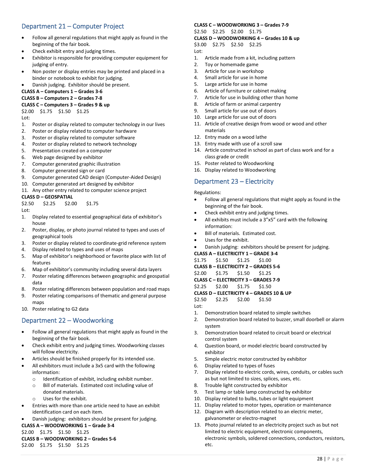# <span id="page-28-0"></span>Department 21 – Computer Project

- Follow all general regulations that might apply as found in the beginning of the fair book.
- Check exhibit entry and judging times.
- Exhibitor is responsible for providing computer equipment for judging of entry.
- Non poster or display entries may be printed and placed in a binder or notebook to exhibit for judging.
- Danish judging. Exhibitor should be present.

#### **CLASS A – Computers 1 – Grades 3-6**

#### **CLASS B – Computers 2 – Grades 7-8**

#### **CLASS C – Computers 3 – Grades 9 & up**

\$2.00 \$1.75 \$1.50 \$1.25

Lot:

- 1. Poster or display related to computer technology in our lives
- 2. Poster or display related to computer hardware
- 3. Poster or display related to computer software
- 4. Poster or display related to network technology
- 5. Presentation created on a computer
- 6. Web page designed by exhibitor
- 7. Computer generated graphic illustration
- 8. Computer generated sign or card
- 9. Computer generated CAD design (Computer-Aided Design)
- 10. Computer generated art designed by exhibitor
- 11. Any other entry related to computer science project

#### **CLASS D – GEOSPATIAL**

\$2.50 \$2.25 \$2.00 \$1.75

Lot:

- 1. Display related to essential geographical data of exhibitor's house
- 2. Poster, display, or photo journal related to types and uses of geographical tools
- 3. Poster or display related to coordinate-grid reference system
- 4. Display related to types and uses of maps
- 5. Map of exhibitor's neighborhood or favorite place with list of features
- 6. Map of exhibitor's community including several data layers
- 7. Poster relating differences between geographic and geospatial data
- 8. Poster relating differences between population and road maps
- 9. Poster relating comparisons of thematic and general purpose mans
- 10. Poster relating to G2 data

## <span id="page-28-1"></span>Department 22 – Woodworking

- Follow all general regulations that might apply as found in the beginning of the fair book.
- Check exhibit entry and judging times. Woodworking classes will follow electricity.
- Articles should be finished properly for its intended use.
- All exhibitors must include a 3x5 card with the following information:
	- o Identification of exhibit, including exhibit number.
	- o Bill of materials. Estimated cost including value of donated materials.
	- o Uses for the exhibit.
- Entries with more than one article need to have an exhibit identification card on each item.
- Danish judging: exhibitors should be present for judging.

**CLASS A – WOODWORKING 1 – Grade 3-4**

## \$2.00 \$1.75 \$1.50 \$1.25

**CLASS B – WOODWORKING 2 – Grades 5-6** \$2.00 \$1.75 \$1.50 \$1.25

#### **CLASS C – WOODWORKING 3 – Grades 7-9** \$2.50 \$2.25 \$2.00 \$1.75

#### **CLASS D – WOODWORKING 4 – Grades 10 & up**

\$3.00 \$2.75 \$2.50 \$2.25

- Lot:
- 1. Article made from a kit, including pattern
- 2. Toy or homemade game
- 3. Article for use in workshop
- 4. Small article for use in home
- 5. Large article for use in home
- 6. Article of furniture or cabinet making
- 7. Article for use in building other than home
- 8. Article of farm or animal carpentry
- 9. Small article for use out of doors
- 10. Large article for use out of doors
- 11. Article of creative design from wood or wood and other materials
- 12. Entry made on a wood lathe
- 13. Entry made with use of a scroll saw
- 14. Article constructed in school as part of class work and for a class grade or credit
- 15. Poster related to Woodworking
- 16. Display related to Woodworking

## <span id="page-28-2"></span>Department 23 – Electricity

Regulations:

- Follow all general regulations that might apply as found in the beginning of the fair book.
- Check exhibit entry and judging times.
- All exhibits must include a 3"x5" card with the following information:
- Bill of materials. Estimated cost.
- Uses for the exhibit.
- Danish judging: exhibitors should be present for judging.
- **CLASS A – ELECTRICITY 1 – GRADE 3-4**
- \$1.75 \$1.50 \$1.25 \$1.00

**CLASS B – ELECTRICITY 2 – GRADES 5-6** 

- \$2.00 \$1.75 \$1.50 \$1.25
- **CLASS C – ELECTRICITY 3 – GRADES 7-9**
- \$2.25 \$2.00 \$1.75 \$1.50

#### **CLASS D – ELECTRICITY 4 – GRADES 10 & UP**

- \$2.50 \$2.25 \$2.00 \$1.50
- Lot:
- 1. Demonstration board related to simple switches
- 2. Demonstration board related to buzzer, small doorbell or alarm system
- 3. Demonstration board related to circuit board or electrical control system
- 4. Question board, or model electric board constructed by exhibitor
- 5. Simple electric motor constructed by exhibitor
- 6. Display related to types of fuses
- 7. Display related to electric cords, wires, conduits, or cables such as but not limited to sizes, splices, uses, etc.
- 8. Trouble light constructed by exhibitor
- 9. Test lamp or table lamp constructed by exhibitor
- 10. Display related to bulbs, tubes or light equipment
- 11. Display related to motor types, operation or maintenance
- 12. Diagram with description related to an electric meter, galvanometer or electro-magnet
- 13. Photo journal related to an electricity project such as but not limited to electric equipment, electronic components, electronic symbols, soldered connections, conductors, resistors, etc.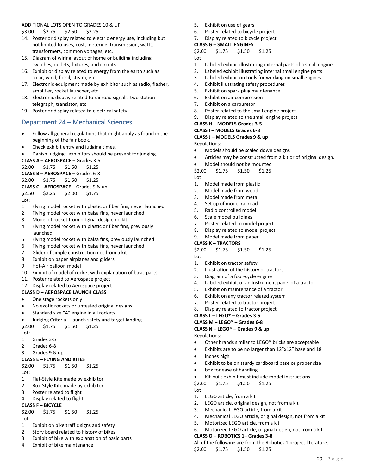#### ADDITIONAL LOTS OPEN TO GRADES 10 & UP \$3.00 \$2.75 \$2.50 \$2.25

- 14. Poster or display related to electric energy use, including but not limited to uses, cost, metering, transmission, watts, transformers, common voltages, etc.
- 15. Diagram of wiring layout of home or building including switches, outlets, fixtures, and circuits
- 16. Exhibit or display related to energy from the earth such as solar, wind, fossil, steam, etc.
- 17. Electronic equipment made by exhibitor such as radio, flasher, amplifier, rocket launcher, etc.
- 18. Electronic display related to railroad signals, two station telegraph, transistor, etc.
- 19. Poster or display related to electrical safety

## <span id="page-29-0"></span>Department 24 – Mechanical Sciences

- Follow all general regulations that might apply as found in the beginning of the fair book.
- Check exhibit entry and judging times.
- Danish judging: exhibitors should be present for judging.

**CLASS A – AEROSPACE –** Grades 3-5

\$2.00 \$1.75 \$1.50 \$1.25 **CLASS B – AEROSPACE –** Grades 6-8 \$2.00 \$1.75 \$1.50 \$1.25 **CLASS C – AEROSPACE –** Grades 9 & up

- \$2.50 \$2.25 \$2.00 \$1.75
- Lot:
- 1. Flying model rocket with plastic or fiber fins, never launched
- 2. Flying model rocket with balsa fins, never launched
- 3. Model of rocket from original design, no kit
- 4. Flying model rocket with plastic or fiber fins, previously launched
- 5. Flying model rocket with balsa fins, previously launched
- 6. Flying model rocket with balsa fins, never launched
- 7. Glider of simple construction not from a kit
- 8. Exhibit on paper airplanes and gliders
- 9. Hot-Air balloon model
- 10. Exhibit of model of rocket with explanation of basic parts
- 11. Poster related to Aerospace project
- 12. Display related to Aerospace project

#### **CLASS D – AEROSPACE LAUNCH CLASS**

- One stage rockets only
- No exotic rockets or untested original designs.
- Standard size "A" engine in all rockets
- Judging Criteria launch safety and target landing
- \$2.00 \$1.75 \$1.50 \$1.25

Lot:

- 1. Grades 3-5
- 2. Grades 6-8
- 3. Grades 9 & up

## **CLASS E – FLYING AND KITES**

\$2.00 \$1.75 \$1.50 \$1.25 Lot:

- 1. Flat-Style Kite made by exhibitor
- 2. Box-Style Kite made by exhibitor
- 3. Poster related to flight
- 4. Display related to flight

## **CLASS F – BICYCLE**

#### \$2.00 \$1.75 \$1.50 \$1.25 Lot:

- 1. Exhibit on bike traffic signs and safety
- 2. Story board related to history of bikes
- 3. Exhibit of bike with explanation of basic parts
- 4. Exhibit of bike maintenance
- 5. Exhibit on use of gears
- 6. Poster related to bicycle project
- 7. Display related to bicycle project

# **CLASS G – SMALL ENGINES**

\$2.00 \$1.75 \$1.50 \$1.25 Lot:

- 1. Labeled exhibit illustrating external parts of a small engine
- 2. Labeled exhibit illustrating internal small engine parts
- 3. Labeled exhibit on tools for working on small engines
- 4. Exhibit illustrating safety procedures
- 5. Exhibit on spark plug maintenance
- 6. Exhibit on air compression
- 7. Exhibit on a carburetor
- 8. Poster related to the small engine project
- 9. Display related to the small engine project

## **CLASS H – MODELS Grades 3-5**

#### **CLASS I – MODELS Grades 6-8**

**CLASS J – MODELS Grades 9 & up**

Regulations:

- Models should be scaled down designs
- Articles may be constructed from a kit or of original design.
- Model should not be mounted

\$2.00 \$1.75 \$1.50 \$1.25

Lot:

- 1. Model made from plastic
- 2. Model made from wood
- 3. Model made from metal
- 4. Set up of model railroad
- 5. Radio controlled model
- 6. Scale model buildings
- 7. Poster related to model project
- 8. Display related to model project

# 9. Model made from paper

# **CLASS K – TRACTORS**

\$2.00 \$1.75 \$1.50 \$1.25 Lot:

- 1. Exhibit on tractor safety
- 2. Illustration of the history of tractors
- 3. Diagram of a four-cycle engine
- 4. Labeled exhibit of an instrument panel of a tractor
- 5. Exhibit on maintenance of a tractor
- 6. Exhibit on any tractor related system
- 7. Poster related to tractor project
- 8. Display related to tractor project

#### **CLASS L – LEGO® – Grades 3-5**

**CLASS M – LEGO® – Grades 6-8**

#### **CLASS N – LEGO® – Grades 9 & up**

Regulations:

Lot:

- Other brands similar to LEGO® bricks are acceptable
- Exhibits are to be no larger than 12"x12" base and 18
- inches high
- Exhibit to be on sturdy cardboard base or proper size

Kit-built exhibit must include model instructions

4. Mechanical LEGO article, original design, not from a kit

6. Motorized LEGO article, original design, not from a kit

All of the following are from the Robotics 1 project literature.

2. LEGO article, original design, not from a kit 3. Mechanical LEGO article, from a kit

29 | P a g e

• box for ease of handling

1. LEGO article, from a kit

\$2.00 \$1.75 \$1.50 \$1.25

5. Motorized LEGO article, from a kit

**CLASS O – ROBOTICS 1– Grades 3-8**

\$2.00 \$1.75 \$1.50 \$1.25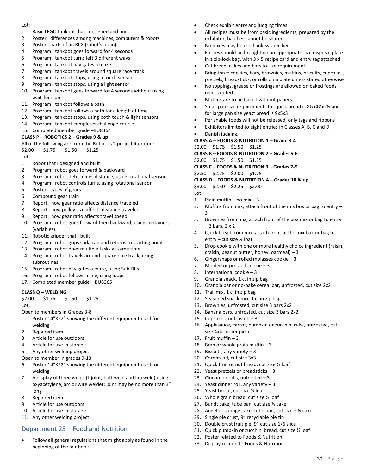#### Lot:

- 1. Basic LEGO tankbot that I designed and built
- 2. Poster: differences among machines, computers & robots
- 3. Poster: parts of an RCX (robot's brain)
- 4. Program: tankbot goes forward for 4 seconds
- 5. Program: tankbot turns left 3 different ways
- 6. Program: tankbot navigates a maze
- 7. Program: tankbot travels around square race track
- 8. Program: tankbot stops, using a touch sensor
- 9. Program: tankbot stops, using a light sensor
- 10. Program: tankbot goes forward for 4 seconds without using wait-for icon
- 11. Program: tankbot follows a path
- 12. Program: tankbot follows a path for a length of time
- 13. Program: tankbot stops, using both touch & light sensors
- 14. Program: tankbot completes challenge course
- 15. Completed member guide –BU8364

#### **CLASS P – ROBOTICS 2 – Grades 9 & up**

All of the following are from the Robotics 2 project literature.

\$2.00 \$1.75 \$1.50 \$1.25

Lot:

- 1. Robot that I designed and built
- 2. Program: robot goes forward & backward
- 3. Program: robot determines distance, using rotational sensor
- 4. Program: robot controls turns, using rotational sensor
- 5. Poster: types of gears
- 6. Compound gear train
- 7. Report: how gear ratio affects distance traveled
- 8. Report: how pulley size affects distance traveled
- 9. Report: how gear ratio affects travel speed
- 10. Program: robot goes forward then backward, using containers (variables)
- 11. Robotic gripper that I built
- 12. Program: robot grips soda can and returns to starting point
- 13. Program: robot does multiple tasks at same time
- 14. Program: robot travels around square race track, using subroutines
- 15. Program: robot navigates a maze, using Sub-BI's
- 16. Program: robot follows a line, using loops
- 17. Completed member guide BU8365

#### **CLASS Q – WELDING**

\$2.00 \$1.75 \$1.50 \$1.25

Lot:

Open to members in Grades 3-8

- 1. Poster 14"X22" showing the different equipment used for welding
- 2. Repaired item
- 3. Article for use outdoors
- 4. Article for use in storage
- 5. Any other welding project

Open to member in grades 9-13

- 6. Poster 14"X22" showing the different equipment used for welding
- 7. A display of three welds (t-joint, butt weld and lap weld) using oxyacetylene, arc or wire welder; joint may be no more than 3" long
- 8. Repaired item
- 9. Article for use outdoors
- 10. Article for use in storage
- 11. Any other welding project

## <span id="page-30-0"></span>Department 25 – Food and Nutrition

Follow all general regulations that might apply as found in the beginning of the fair book

- Check exhibit entry and judging times
- All recipes must be from basic ingredients, prepared by the exhibitor, batches cannot be shared
- No mixes may be used unless specified
- Entries should be brought on an appropriate size disposal plate in a zip-lock bag, with 3 x 5 recipe card and entry tag attached
- Cut bread, cakes and bars to size requirements
- Bring three cookies, bars, brownies, muffins, biscuits, cupcakes, pretzels, breadsticks, or rolls on a plate unless stated otherwise
- No toppings, grease or frostings are allowed on baked foods unless noted
- Muffins are to be baked without papers
- Small pan size requirements for quick bread is 8½x4¼x2½ and for large pan size yeast bread is 9x5x3
- Perishable foods will not be released, only tags and ribbons
- Exhibitors limited to eight entries in Classes A, B, C and D
- Danish judging.

#### **CLASS A – FOODS & NUTRITION 1 – Grade 3-4**

\$2.00 \$1.75 \$1.50 \$1.25

**CLASS B – FOODS & NUTRITION 2 – Grades 5-6** 

\$2.00 \$1.75 \$1.50 \$1.25

**CLASS C – FOODS & NUTRITION 3 – Grades 7-9** 

\$2.50 \$2.25 \$2.00 \$1.75

#### **CLASS D – FOODS & NUTRITION 4 – Grades 10 & up**

\$3.00 \$2.50 \$2.25 \$2.00

- Lot:
- 1. Plain muffin no mix 3
- 2. Muffins from mix, attach front of the mix box or bag to entry 3
- 3. Brownies from mix, attach front of the box mix or bag to entry  $-3$  bars, 2 x 2
- 4. Quick bread from mix, attach front of the mix box or bag to entry – cut size ½ loaf
- 5. Drop cookie with one or more healthy choice ingredient (raisin, craisin, peanut butter, honey, oatmeal) – 3
- 6. Gingersnaps or rolled molasses cookie  $-3$
- 7. Molded or pressed cookie 3
- 8. International cookie 3
- 9. Granola snack, 1 c. in zip bag
- 10. Granola bar or no-bake cereal bar, unfrosted, cut size 2x2
- 11. Trail mix, 1 c. in zip bag
- 12. Seasoned snack mix, 1 c. in zip bag
- 13. Brownies, unfrosted, cut size 3 bars 2x2
- 14. Banana bars, unfrosted, cut size 3 bars 2x2
- 15. Cupcakes, unfrosted 3
- 16. Applesauce, carrot, pumpkin or zucchini cake, unfrosted, cut size 4x4 corner piece.

30 | P a g e

- 17. Fruit muffin 3
- 18. Bran or whole grain muffin  $-3$
- 19. Biscuits, any variety  $-3$
- 20. Cornbread, cut size 3x3
- 21. Quick fruit or nut bread, cut size ½ loaf

28. Angel or sponge cake, tube pan, cut size  $-$  ¼ cake

- 22. Yeast pretzels or breadsticks 3
- 23. Cinnamon rolls, unfrosted 3

29. Single pie crust, 9" recyclable pie tin 30. Double crust fruit pie, 9" cut size 1/6 slice 31. Quick pumpkin or zucchini bread, cut size ½ loaf

32. Poster related to Foods & Nutrition 33. Display related to Foods & Nutrition

24. Yeast dinner roll, any variety  $-3$ 

25. Yeast bread, cut size ½ loaf 26. Whole grain bread, cut size ½ loaf 27. Bundt cake, tube pan, cut size ¼ cake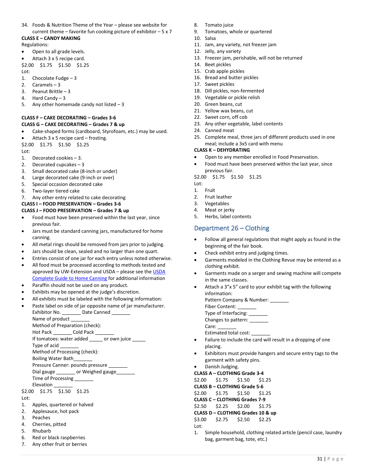34. Foods & Nutrition Theme of the Year – please see website for current theme – favorite fun cooking picture of exhibitor  $-5 \times 7$ 

#### **CLASS E – CANDY MAKING** Regulations:

- 
- Open to all grade levels. • Attach 3 x 5 recipe card.
- \$2.00 \$1.75 \$1.50 \$1.25

Lot:

- 1. Chocolate Fudge 3
- 2. Caramels 3
- 3. Peanut Brittle 3
- 4. Hard Candy 3
- 5. Any other homemade candy not listed  $-3$

# **CLASS F – CAKE DECORATING – Grades 3-6**

- **CLASS G – CAKE DECORATING – Grades 7 & up**
- Cake-shaped forms (cardboard, Styrofoam, etc.) may be used.
- Attach 3 x 5 recipe card frosting.
- \$2.00 \$1.75 \$1.50 \$1.25  $Int$
- 
- 1. Decorated cookies 3.
- 2. Decorated cupcakes 3
- 3. Small decorated cake (8-inch or under)
- 4. Large decorated cake (9-inch or over)
- 5. Special occasion decorated cake
- 6. Two-layer tiered cake
- 7. Any other entry related to cake decorating

## **CLASS I – FOOD PRESERVATION – Grades 3-6**

- **CLASS J – FOOD PRESERVATION – Grades 7 & up**
- Food must have been preserved within the last year, since previous fair.
- Jars must be standard canning jars, manufactured for home canning.
- All metal rings should be removed from jars prior to judging.
- Jars should be clean, sealed and no larger than one quart.
- Entries consist of one jar for each entry unless noted otherwise.
- All food must be processed according to methods tested and approved by UW-Extension and USDA – please see th[e USDA](http://nchfp.uga.edu/publications/publications_usda.html)  [Complete Guide to Home Canning](http://nchfp.uga.edu/publications/publications_usda.html) for additional information
- Paraffin should not be used on any product.
- Exhibits may be opened at the judge's discretion.
- All exhibits must be labeled with the following information:
- Paste label on side of jar opposite name of jar manufacturer. Exhibitor No. \_\_\_\_\_\_\_\_\_ Date Canned \_ Name of product Method of Preparation (check): Hot Pack \_\_\_\_\_\_\_\_\_ Cold Pack \_\_\_ If tomatoes: water added \_\_\_\_\_ or own juice \_\_\_ Type of acid \_\_\_\_\_\_\_ Method of Processing (check): Boiling Water Bath\_\_\_\_\_\_\_ Pressure Canner: pounds pressure \_\_\_\_\_\_\_ Dial gauge \_\_\_\_\_\_\_\_\_ or Weighed gauge\_\_\_\_ Time of Processing \_\_\_\_\_\_\_

\$2.00 \$1.75 \$1.50 \$1.25 Lot:

- 1. Apples, quartered or halved
- 2. Applesauce, hot pack
- 3. Peaches
- 4. Cherries, pitted
- 5. Rhubarb
- 6. Red or black raspberries 7. Any other fruit or berries
- Elevation
- 

- - **CLASS B – CLOTHING Grade 5-6** 
		- \$2.00 \$1.75 \$1.50 \$1.25
		- **CLASS C – CLOTHING Grades 7-9**
		- \$2.50 \$2.25 \$2.00 \$1.75
		- **CLASS D – CLOTHING Grades 10 & up**
		- \$3.00 \$2.75 \$2.50 \$2.25
		- Lot:
		- 1. Simple household, clothing related article (pencil case, laundry bag, garment bag, tote, etc.)

31 | P a g e

- 8. Tomato juice
- 9. Tomatoes, whole or quartered
- 10. Salsa
- 11. Jam, any variety, not freezer jam
- 12. Jelly, any variety
- 13. Freezer jam, perishable, will not be returned
- 14. Beet pickles
- 15. Crab apple pickles
- 16. Bread and butter pickles
- 17. Sweet pickles
- 18. Dill pickles, non-fermented
- 19. Vegetable or pickle relish
- 20. Green beans, cut
- 21. Yellow wax beans, cut
- 22. Sweet corn, off cob
- 23. Any other vegetable, label contents
- 24. Canned meat
- 25. Complete meal, three jars of different products used in one meal; include a 3x5 card with menu

#### **CLASS K – DEHYDRATING**

- Open to any member enrolled in Food Preservation.
- Food must have been preserved within the last year, since previous fair.
- \$2.00 \$1.75 \$1.50 \$1.25
- Lot:
- 1. Fruit
- 2. Fruit leather
- 3. Vegetables
- 4. Meat or jerky
- 5. Herbs, label contents

## <span id="page-31-0"></span>Department 26 – Clothing

- Follow all general regulations that might apply as found in the beginning of the fair book.
- Check exhibit entry and judging times.
- Garments modeled in the Clothing Revue may be entered as a clothing exhibit.
- Garments made on a serger and sewing machine will compete in the same classes.
- Attach a 3"x 5" card to your exhibit tag with the following information:

| Pattern Company & Number: |
|---------------------------|
| Fiber Content:            |
| Type of Interfacing:      |
| Changes to pattern:       |
| Care:                     |
| .                         |

- Estimated total cost: \_\_\_\_\_\_\_ • Failure to include the card will result in a dropping of one placing.
- Exhibitors must provide hangers and secure entry tags to the garment with safety pins.
- Danish Judging.
- **CLASS A – CLOTHING Grade 3-4**
- \$2.00 \$1.75 \$1.50 \$1.25
- 
- 
-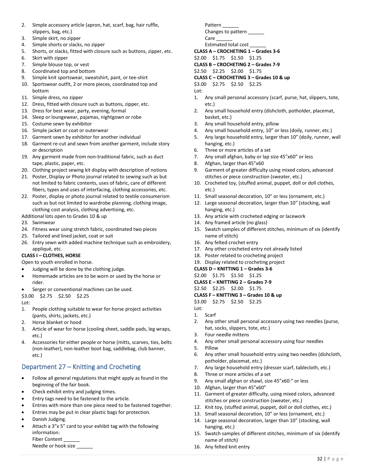- 2. Simple accessory article (apron, hat, scarf, bag, hair ruffle, slippers, bag, etc.)
- 3. Simple skirt, no zipper
- 4. Simple shorts or slacks, no zipper
- 5. Shorts, or slacks, fitted with closure such as buttons, zipper, etc.
- 6. Skirt with zipper
- 7. Simple blouse top, or vest
- 8. Coordinated top and bottom
- 9. Simple knit sportswear, sweatshirt, pant, or tee-shirt
- 10. Sportswear outfit, 2 or more pieces, coordinated top and bottom
- 11. Simple dress, no zipper
- 12. Dress, fitted with closure such as buttons, zipper, etc.
- 13. Dress for best wear, party, evening, formal
- 14. Sleep or loungewear, pajamas, nightgown or robe
- 15. Costume sewn by exhibitor
- 16. Simple jacket or coat or outerwear
- 17. Garment sewn by exhibitor for another individual
- 18. Garment re-cut and sewn from another garment, include story or description
- 19. Any garment made from non-traditional fabric, such as duct tape, plastic, paper, etc.
- 20. Clothing project sewing kit display with description of notions
- 21. Poster, Display or Photo journal related to sewing such as but not limited to fabric contents, uses of fabric, care of different fibers, types and uses of interfacing, clothing accessories, etc.
- 22. Poster, display or photo journal related to textile consumerism such as but not limited to wardrobe planning, clothing image, clothing cost analysis, clothing advertising, etc.

Additional lots open to Grades 10 & up

- 23. Swimwear
- 24. Fitness wear using stretch fabric, coordinated two pieces
- 25. Tailored and lined jacket, coat or suit
- 26. Entry sewn with added machine technique such as embroidery, appliqué, etc.

## **CLASS I – CLOTHES, HORSE**

Open to youth enrolled in horse.

- Judging will be done by the clothing judge.
- Homemade articles are to be worn or used by the horse or rider.
- Serger or conventional machines can be used.
- \$3.00 \$2.75 \$2.50 \$2.25

Lot:

- 1. People clothing suitable to wear for horse project activities (pants, shirts, jackets, etc.)
- 2. Horse blanket or hood
- 3. Article of wear for horse (cooling sheet, saddle pads, leg wraps, etc.)
- 4. Accessories for either people or horse (mitts, scarves, ties, belts (non-leather), non-leather boot bag, saddlebag, club banner, etc.)

# <span id="page-32-0"></span>Department 27 – Knitting and Crocheting

- Follow all general regulations that might apply as found in the beginning of the fair book.
- Check exhibit entry and judging times.
- Entry tags need to be fastened to the article.
- Entries with more than one piece need to be fastened together.
- Entries may be put in clear plastic bags for protection.
- Danish Judging.
- Attach a 3"x 5" card to your exhibit tag with the following information:

Fiber Content

Needle or hook size

Pattern Changes to pattern Care

Estimated total cost \_\_\_\_\_\_

```
CLASS A – CROCHETING 1 – Grades 3-6
```
\$2.00 \$1.75 \$1.50 \$1.25

**CLASS B – CROCHETING 2 – Grades 7-9**

\$2.50 \$2.25 \$2.00 \$1.75

**CLASS C – CROCHETING 3 – Grades 10 & up**

\$3.00 \$2.75 \$2.50 \$2.25

Lot:

- 1. Any small personal accessory (scarf, purse, hat, slippers, tote, etc.)
- 2. Any small household entry (dishcloth, potholder, placemat, basket, etc.)
- 3. Any small household entry, pillow
- 4. Any small household entry, 10" or less (doily, runner, etc.)
- 5. Any large household entry, larger than 10" (doily, runner, wall hanging, etc.)
- 6. Three or more articles of a set
- 7. Any small afghan, baby or lap size 45"x60" or less
- 8. Afghan, larger than 45"x60
- 9. Garment of greater difficulty using mixed colors, advanced stitches or piece construction (sweater, etc.)
- 10. Crocheted toy, (stuffed animal, puppet, doll or doll clothes, etc.)
- 11. Small seasonal decoration, 10" or less (ornament, etc.)
- 12. Large seasonal decoration, larger than 10" (stocking, wall hanging, etc.)
- 13. Any article with crocheted edging or lacework
- 14. Any framed article (no glass)
- 15. Swatch samples of different stitches, minimum of six (identify name of stitch)
- 16. Any felted crochet entry
- 17. Any other crocheted entry not already listed
- 18. Poster related to crocheting project
- 19. Display related to crocheting project

## **CLASS D – KNITTING 1 – Grades 3-6**

\$2.00 \$1.75 \$1.50 \$1.25 **CLASS E – KNITTING 2 – Grades 7-9**

- \$2.50 \$2.25 \$2.00 \$1.75
- **CLASS F – KNITTING 3 – Grades 10 & up**
- \$3.00 \$2.75 \$2.50 \$2.25
- Lot: 1. Scarf
	-
- 2. Any other small personal accessory using two needles (purse, hat, socks, slippers, tote, etc.)
- 3. Four needle mittens
- 4. Any other small personal accessory using four needles
- 5. Pillow
- 6. Any other small household entry using two needles (dishcloth, potholder, placemat, etc.)
- 7. Any large household entry (dresser scarf, tablecloth, etc.)
- 8. Three or more articles of a set
- 9. Any small afghan or shawl, size 45"x60:" or less
- 10. Afghan, larger than 45"x60"
- 11. Garment of greater difficulty, using mixed colors, advanced stitches or piece construction (sweater, etc.)
- 12. Knit toy, (stuffed animal, puppet, doll or doll clothes, etc.)
- 13. Small seasonal decoration, 10" or less (ornament, etc.)
- 14. Large seasonal decoration, larger than 10" (stocking, wall hanging, etc.)
- 15. Swatch samples of different stitches, minimum of six (identify name of stitch)
- 16. Any felted knit entry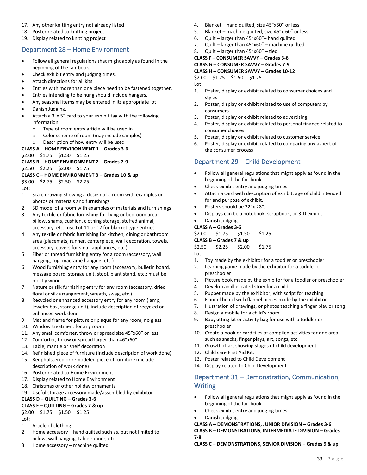- 17. Any other knitting entry not already listed
- 18. Poster related to knitting project
- <span id="page-33-0"></span>19. Display related to knitting project

## Department 28 – Home Environment

- Follow all general regulations that might apply as found in the beginning of the fair book.
- Check exhibit entry and judging times.
- Attach directions for all kits.
- Entries with more than one piece need to be fastened together.
- Entries intending to be hung should include hangers.
- Any seasonal items may be entered in its appropriate lot
- Danish Judging.
- Attach a 3"x 5" card to your exhibit tag with the following information:
	- o Type of room entry article will be used in
	- o Color scheme of room (may include samples)
	- o Description of how entry will be used

#### **CLASS A – HOME ENVIRONMENT 1 – Grades 3-6**

#### \$2.00 \$1.75 \$1.50 \$1.25

## **CLASS B – HOME ENVIRONMENT 2 – Grades 7-9**

\$2.50 \$2.25 \$2.00 \$1.75

## **CLASS C – HOME ENVIRONMENT 3 – Grades 10 & up**

\$3.00 \$2.75 \$2.50 \$2.25

Lot:

- 1. Scale drawing showing a design of a room with examples or photos of materials and furnishings
- 2. 3D model of a room with examples of materials and furnishings
- 3. Any textile or fabric furnishing for living or bedroom area; pillow, shams, cushion, clothing storage, stuffed animal, accessory, etc.; use Lot 11 or 12 for blanket type entries
- 4. Any textile or fabric furnishing for kitchen, dining or bathroom area (placemats, runner, centerpiece, wall decoration, towels, accessory, covers for small appliances, etc.)
- 5. Fiber or thread furnishing entry for a room (accessory, wall hanging, rug, macramé hanging, etc.)
- 6. Wood furnishing entry for any room (accessory, bulletin board, message board, storage unit, stool, plant stand, etc.; must be mostly wood
- 7. Nature or silk furnishing entry for any room (accessory, dried floral or silk arrangement, wreath, swag, etc.)
- 8. Recycled or enhanced accessory entry for any room (lamp, jewelry box, storage unit); include description of recycled or enhanced work done
- 9. Mat and frame for picture or plaque for any room, no glass
- 10. Window treatment for any room
- 11. Any small comforter, throw or spread size 45"x60" or less
- 12. Comforter, throw or spread larger than 46"x60"
- 13. Table, mantle or shelf decoration
- 14. Refinished piece of furniture (include description of work done)
- 15. Reupholstered or remodeled piece of furniture (include description of work done)
- 16. Poster related to Home Environment
- 17. Display related to Home Environment
- 18. Christmas or other holiday ornaments
- 19. Useful storage accessory made/assembled by exhibitor

### **CLASS D – QUILTING – Grades 3-6**

#### **CLASS E – QUILTING – Grades 7 & up**

\$2.00 \$1.75 \$1.50 \$1.25

Lot:

- 1. Article of clothing
- 2. Home accessory hand quilted such as, but not limited to pillow, wall hanging, table runner, etc.
- 3. Home accessory machine quilted
- 4. Blanket hand quilted, size 45"x60" or less
- 5. Blanket machine quilted, size 45"x 60" or less
- 6. Quilt larger than 45"x60"– hand quilted
- 7. Quilt larger than 45"x60" machine quilted
- 8. Quilt larger than 45"x60" tied
- **CLASS F – CONSUMER SAVVY – Grades 3-6**

**CLASS G – CONSUMER SAVVY – Grades 7-9**

## **CLASS H – CONSUMER SAVVY – Grades 10-12**

\$2.00 \$1.75 \$1.50 \$1.25

- Lot:
- 1. Poster, display or exhibit related to consumer choices and styles
- 2. Poster, display or exhibit related to use of computers by consumers
- 3. Poster, display or exhibit related to advertising
- 4. Poster, display or exhibit related to personal finance related to consumer choices
- 5. Poster, display or exhibit related to customer service
- 6. Poster, display or exhibit related to comparing any aspect of the consumer process

## <span id="page-33-1"></span>Department 29 – Child Development

- Follow all general regulations that might apply as found in the beginning of the fair book.
- Check exhibit entry and judging times.
- Attach a card with description of exhibit, age of child intended for and purpose of exhibit.
- Posters should be 22"x 28".
- Displays can be a notebook, scrapbook, or 3-D exhibit.
- Danish Judging.
- **CLASS A – Grades 3-6**

\$2.00 \$1.75 \$1.50 \$1.25

**CLASS B – Grades 7 & up**

\$2.50 \$2.25 \$2.00 \$1.75

- Lot:
- 1. Toy made by the exhibitor for a toddler or preschooler
- 2. Learning game made by the exhibitor for a toddler or preschooler
- 3. Picture book made by the exhibitor for a toddler or preschooler
- 4. Develop an illustrated story for a child
- 5. Puppet made by the exhibitor, with script for teaching
- 6. Flannel board with flannel pieces made by the exhibitor
- 7. Illustration of drawings, or photos teaching a finger play or song
- 8. Design a mobile for a child's room
- 9. Babysitting kit or activity bag for use with a toddler or preschooler
- 10. Create a book or card files of compiled activities for one area such as snacks, finger plays, art, songs, etc.
- 11. Growth chart showing stages of child development.
- 12. Child care First Aid Kit.
- 13. Poster related to Child Development
- 14. Display related to Child Development

## <span id="page-33-2"></span>Department 31 – Demonstration, Communication, **Writing**

- Follow all general regulations that might apply as found in the beginning of the fair book.
- Check exhibit entry and judging times.
- Danish Judging.

#### **CLASS A – DEMONSTRATIONS, JUNIOR DIVISION – Grades 3-6 CLASS B – DEMONSTRATIONS, INTERMEDIATE DIVISION – Grades 7-8**

#### **CLASS C – DEMONSTRATIONS, SENIOR DIVISION – Grades 9 & up**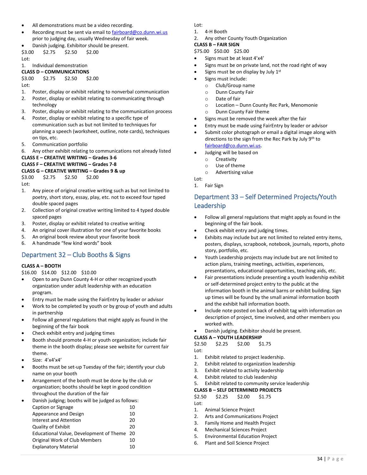- All demonstrations must be a video recording.
- Recording must be sent via email to [fairboard@co.dunn.wi.us](mailto:fairboard@co.dunn.wi.us) prior to judging day, usually Wednesday of fair week.

• Danish judging. Exhibitor should be present. \$3.00 \$2.75 \$2.50 \$2.00

Lot:

1. Individual demonstration

#### **CLASS D – COMMUNICATIONS**

\$3.00 \$2.75 \$2.50 \$2.00

 $Int$ 

- 1. Poster, display or exhibit relating to nonverbal communication
- 2. Poster, display or exhibit relating to communicating through technology
- 3. Poster, display or exhibit relating to the communication process
- 4. Poster, display or exhibit relating to a specific type of communication such as but not limited to techniques for planning a speech (worksheet, outline, note cards), techniques on tips, etc.
- 5. Communication portfolio
- 6. Any other exhibit relating to communications not already listed

**CLASS E – CREATIVE WRITING – Grades 3-6**

#### **CLASS F – CREATIVE WRITING – Grades 7-8**

#### **CLASS G – CREATIVE WRITING – Grades 9 & up**

\$3.00 \$2.75 \$2.50 \$2.00 Lot:

- 1. Any piece of original creative writing such as but not limited to poetry, short story, essay, play, etc. not to exceed four typed double spaced pages
- 2. Collection of original creative writing limited to 4 typed double spaced pages
- 3. Poster, display or exhibit related to creative writing
- 4. An original cover illustration for one of your favorite books
- 5. An original book review about your favorite book
- 6. A handmade "few kind words" book

## <span id="page-34-0"></span>Department 32 – Club Booths & Signs

#### **CLASS A – BOOTH**

\$16.00 \$14.00 \$12.00 \$10.00

- Open to any Dunn County 4-H or other recognized youth organization under adult leadership with an education program.
- Entry must be made using the FairEntry by leader or advisor
- Work to be completed by youth or by group of youth and adults in partnership
- Follow all general regulations that might apply as found in the beginning of the fair book
- Check exhibit entry and judging times
- Booth should promote 4-H or youth organization; include fair theme in the booth display; please see website for current fair theme.
- Size: 4'x4'x4'
- Booths must be set-up Tuesday of the fair; identify your club name on your booth
- Arrangement of the booth must be done by the club or organization; booths should be kept in good condition throughout the duration of the fair

| $\bullet$ | Danish judging; booths will be judged as follows: |    |
|-----------|---------------------------------------------------|----|
|           | Caption or Signage                                | 10 |
|           | Appearance and Design                             | 10 |
|           | <b>Interest and Attention</b>                     | 20 |
|           | <b>Quality of Exhibit</b>                         | 20 |
|           | Educational Value, Development of Theme           | 20 |
|           | Original Work of Club Members                     | 10 |
|           | <b>Explanatory Material</b>                       | 10 |
|           |                                                   |    |

Lot:

- 1. 4-H Booth
- 2. Any other County Youth Organization

## **CLASS B – FAIR SIGN**

\$75.00 \$50.00 \$25.00

- Signs must be at least 4'x4'
- Signs must be on private land, not the road right of way
- $\bullet$  Signs must be on display by July 1st
- Signs must include:
	- o Club/Group name
	- o Dunn County Fair
	- o Date of fair
	- o Location Dunn County Rec Park, Menomonie
	- o Dunn County Fair theme
- Signs must be removed the week after the fair
- Entry must be made using FairEntry by leader or advisor
- Submit color photograph or email a digital image along with directions to the sign from the Rec Park by July 9th to [fairboard@co.dunn.wi.us.](mailto:fairboard@co.dunn.wi.us)
- Judging will be based on
	- o Creativity
	- o Use of theme
	- o Advertising value

Lot: 1. Fair Sign

# <span id="page-34-1"></span>Department 33 – Self Determined Projects/Youth Leadership

- Follow all general regulations that might apply as found in the beginning of the fair book.
- Check exhibit entry and judging times.
- Exhibits may include but are not limited to related entry items, posters, displays, scrapbook, notebook, journals, reports, photo story, portfolio, etc.
- Youth Leadership projects may include but are not limited to action plans, training meetings, activities, experiences, presentations, educational opportunities, teaching aids, etc.
- Fair presentations include presenting a youth leadership exhibit or self-determined project entry to the public at the information booth in the animal barns or exhibit building. Sign up times will be found by the small animal information booth and the exhibit hall information booth.
- Include note posted on back of exhibit tag with information on description of project, time involved, and other members you worked with.
- Danish judging. Exhibitor should be present.
- **CLASS A – YOUTH LEADERSHIP**

\$2.50 \$2.25 \$2.00 \$1.75

- Lot:
- 1. Exhibit related to project leadership.
- 2. Exhibit related to organization leadership
- 3. Exhibit related to activity leadership
- 4. Exhibit related to club leadership
- 5. Exhibit related to community service leadership

**CLASS B – SELF DETERMINED PROJECTS** 

| \$2.50 | \$2.25 | \$2.00 | \$1.75 |
|--------|--------|--------|--------|
| Lot:   |        |        |        |

- 1. Animal Science Project
- 2. Arts and Communications Project
- 3. Family Home and Health Project
- 4. Mechanical Sciences Project
- 5. Environmental Education Project
- 6. Plant and Soil Science Project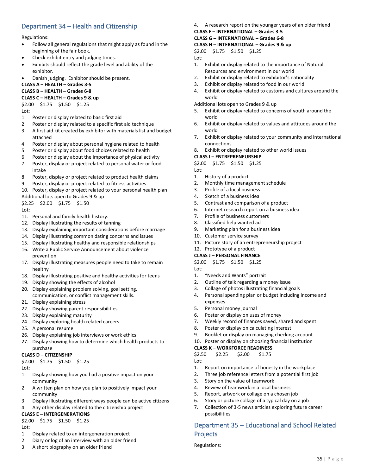# <span id="page-35-0"></span>Department 34 – Health and Citizenship

#### Regulations:

- Follow all general regulations that might apply as found in the beginning of the fair book.
- Check exhibit entry and judging times.
- Exhibits should reflect the grade level and ability of the exhibitor.
- Danish judging. Exhibitor should be present.

# **CLASS A – HEALTH – Grades 3-5**

## **CLASS B – HEALTH – Grades 6-8**

**CLASS C – HEALTH – Grades 9 & up**

## \$2.00 \$1.75 \$1.50 \$1.25

Lot:

- 1. Poster or display related to basic first aid
- 2. Poster or display related to a specific first aid technique
- 3. A first aid kit created by exhibitor with materials list and budget attached
- 4. Poster or display about personal hygiene related to health
- 5. Poster or display about food choices related to health
- 6. Poster or display about the importance of physical activity
- 7. Poster, display or project related to personal water or food intake
- 8. Poster, display or project related to product health claims
- 9. Poster, display or project related to fitness activities
- 10. Poster, display or project related to your personal health plan
- Additional lots open to Grades 9 & up

\$2.25 \$2.00 \$1.75 \$1.50

 $Int$ 

- 11. Personal and family health history.
- 12. Display illustrating the results of tanning
- 13. Display explaining important considerations before marriage
- 14. Display illustrating common dating concerns and issues
- 15. Display illustrating healthy and responsible relationships
- 16. Write a Public Service Announcement about violence prevention
- 17. Display illustrating measures people need to take to remain healthy
- 18. Display illustrating positive and healthy activities for teens
- 19. Display showing the effects of alcohol
- 20. Display explaining problem solving, goal setting, communication, or conflict management skills.
- 21. Display explaining stress
- 22. Display showing parent responsibilities
- 23. Display explaining maturity
- 24. Display exploring health related careers
- 25. A personal resume
- 26. Display explaining job interviews or work ethics
- 27. Display showing how to determine which health products to

## purchase

**CLASS D – CITIZENSHIP**  \$2.00 \$1.75 \$1.50 \$1.25

Lot:

- 1. Display showing how you had a positive impact on your community
- 2. A written plan on how you plan to positively impact your community
- 3. Display illustrating different ways people can be active citizens
- 4. Any other display related to the citizenship project

## **CLASS E – INTERGENERATIONS**

## \$2.00 \$1.75 \$1.50 \$1.25

Lot:

- 1. Display related to an intergeneration project
- 2. Diary or log of an interview with an older friend
- 3. A short biography on an older friend

4. A research report on the younger years of an older friend

# **CLASS F – INTERNATIONAL – Grades 3-5**

#### **CLASS G – INTERNATIONAL – Grades 6-8 CLASS H – INTERNATIONAL – Grades 9 & up**

\$2.00 \$1.75 \$1.50 \$1.25

Lot:

- 1. Exhibit or display related to the importance of Natural Resources and environment in our world
- 2. Exhibit or display related to exhibitor's nationality
- 3. Exhibit or display related to food in our world
- 4. Exhibit or display related to customs and cultures around the world

Additional lots open to Grades 9 & up

- 5. Exhibit or display related to concerns of youth around the world
- 6. Exhibit or display related to values and attitudes around the world
- 7. Exhibit or display related to your community and international connections.
- 8. Exhibit or display related to other world issues

#### **CLASS I – ENTREPRENEURSHIP**

\$2.00 \$1.75 \$1.50 \$1.25

- Lot:
- 1. History of a product
- 2. Monthly time management schedule
- 3. Profile of a local business
- 4. Sketch of a business idea
- 5. Contrast and comparison of a product
- 6. Internet research report on a business idea
- 7. Profile of business customers
- 8. Classified help wanted ad
- 9. Marketing plan for a business idea
- 10. Customer service survey
- 11. Picture story of an entrepreneurship project
- 12. Prototype of a product
- **CLASS J – PERSONAL FINANCE**

## \$2.00 \$1.75 \$1.50 \$1.25

- Lot:
- 1. "Needs and Wants" portrait
- 2. Outline of talk regarding a money issue
- 3. Collage of photos illustrating financial goals
- 4. Personal spending plan or budget including income and expenses
- 5. Personal money journal
- 6. Poster or display on uses of money
- 7. Weekly record of finances saved, shared and spent
- 8. Poster or display on calculating interest
- 9. Booklet or display on managing checking account
- 10. Poster or display on choosing financial institution

#### **CLASS K – WORKFORCE READINESS**

\$2.50 \$2.25 \$2.00 \$1.75

3. Story on the value of teamwork 4. Review of teamwork in a local business 5. Report, artwork or collage on a chosen job 6. Story or picture collage of a typical day on a job 7. Collection of 3-5 news articles exploring future career

possibilities

Projects Regulations:

- Lot:
- 1. Report on importance of honesty in the workplace 2. Three job reference letters from a potential first job

<span id="page-35-1"></span>Department 35 – Educational and School Related

35 | P a g e